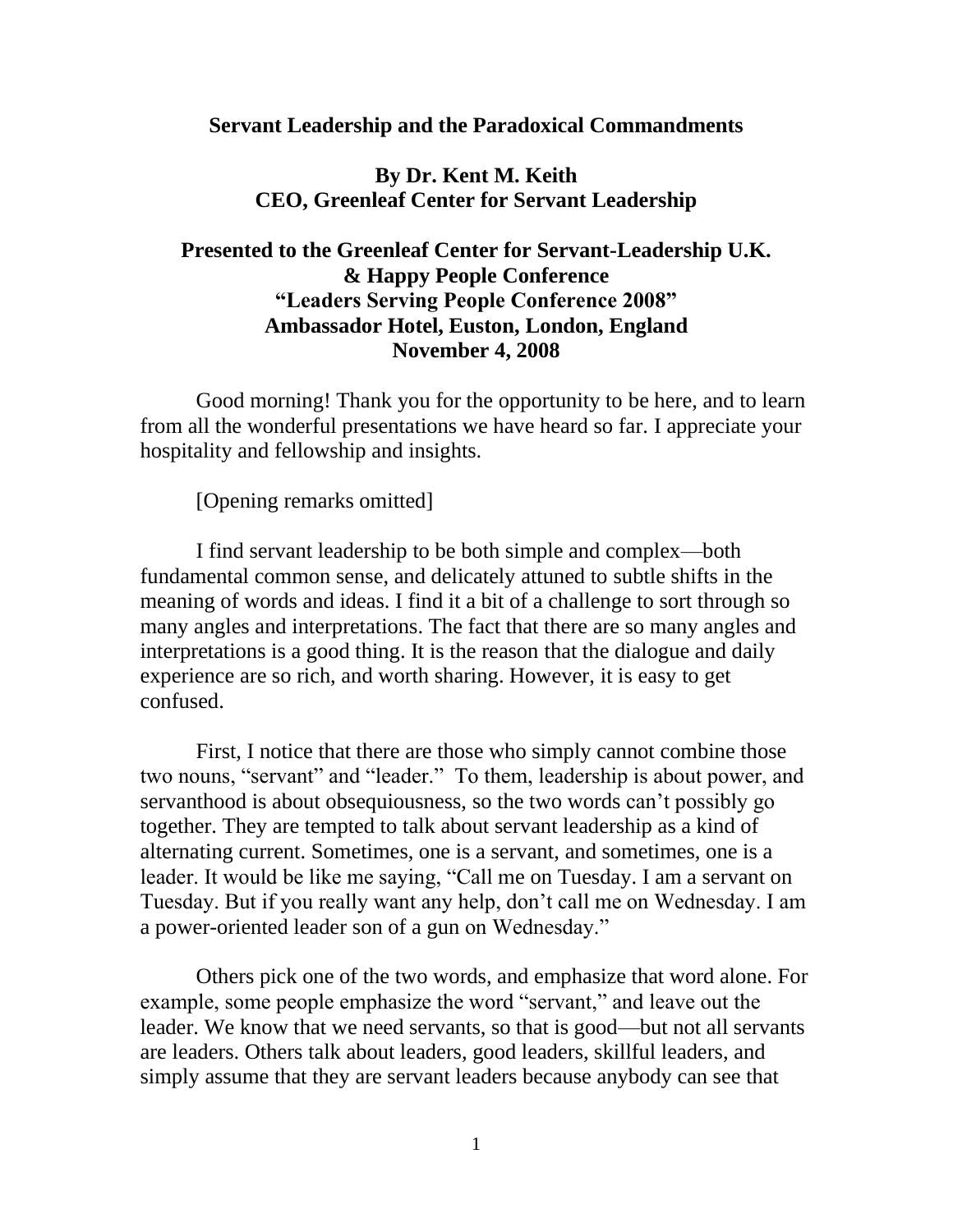#### **Servant Leadership and the Paradoxical Commandments**

## **By Dr. Kent M. Keith CEO, Greenleaf Center for Servant Leadership**

# **Presented to the Greenleaf Center for Servant-Leadership U.K. & Happy People Conference "Leaders Serving People Conference 2008" Ambassador Hotel, Euston, London, England November 4, 2008**

Good morning! Thank you for the opportunity to be here, and to learn from all the wonderful presentations we have heard so far. I appreciate your hospitality and fellowship and insights.

[Opening remarks omitted]

I find servant leadership to be both simple and complex—both fundamental common sense, and delicately attuned to subtle shifts in the meaning of words and ideas. I find it a bit of a challenge to sort through so many angles and interpretations. The fact that there are so many angles and interpretations is a good thing. It is the reason that the dialogue and daily experience are so rich, and worth sharing. However, it is easy to get confused.

First, I notice that there are those who simply cannot combine those two nouns, "servant" and "leader." To them, leadership is about power, and servanthood is about obsequiousness, so the two words can't possibly go together. They are tempted to talk about servant leadership as a kind of alternating current. Sometimes, one is a servant, and sometimes, one is a leader. It would be like me saying, "Call me on Tuesday. I am a servant on Tuesday. But if you really want any help, don't call me on Wednesday. I am a power-oriented leader son of a gun on Wednesday."

Others pick one of the two words, and emphasize that word alone. For example, some people emphasize the word "servant," and leave out the leader. We know that we need servants, so that is good—but not all servants are leaders. Others talk about leaders, good leaders, skillful leaders, and simply assume that they are servant leaders because anybody can see that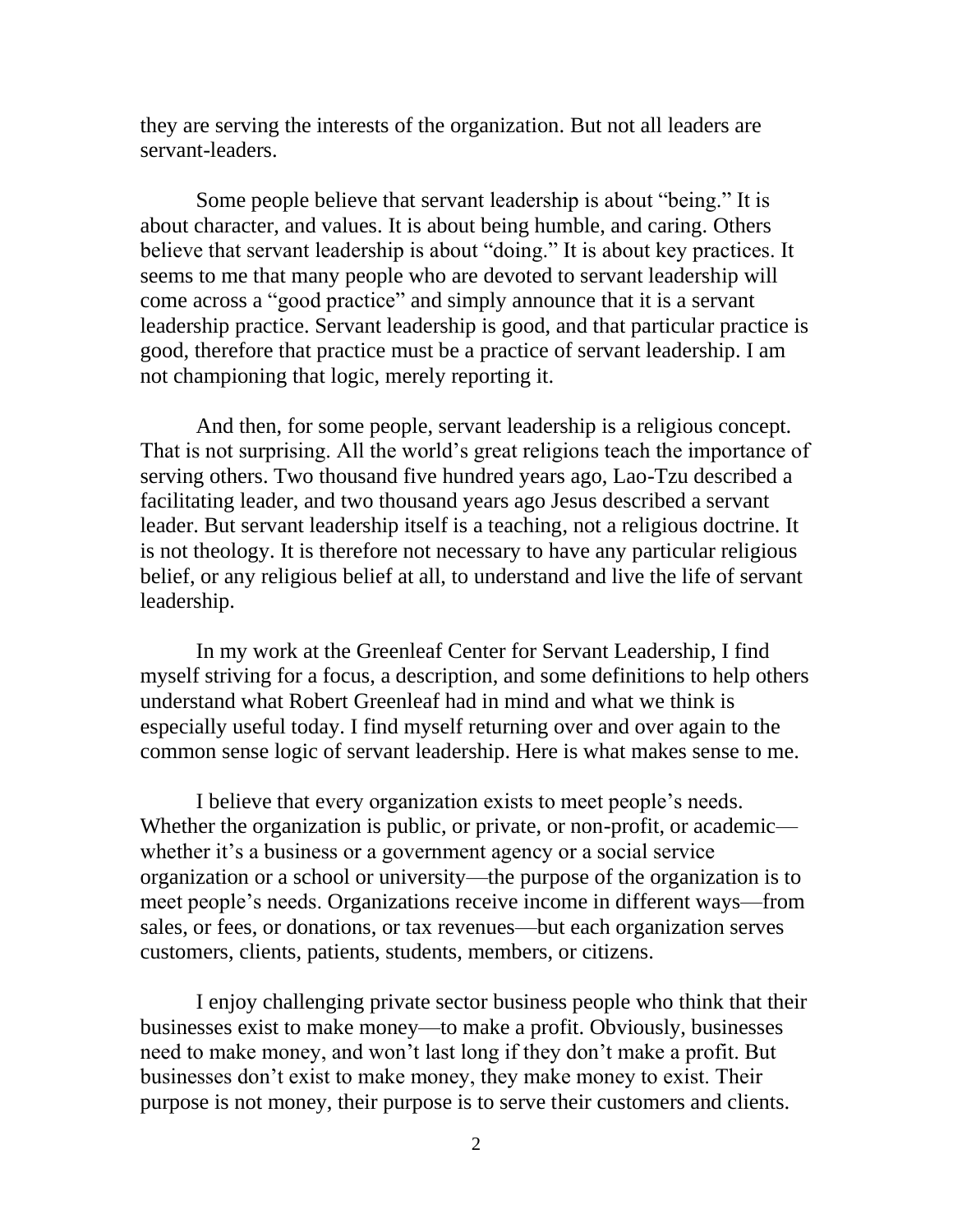they are serving the interests of the organization. But not all leaders are servant-leaders.

Some people believe that servant leadership is about "being." It is about character, and values. It is about being humble, and caring. Others believe that servant leadership is about "doing." It is about key practices. It seems to me that many people who are devoted to servant leadership will come across a "good practice" and simply announce that it is a servant leadership practice. Servant leadership is good, and that particular practice is good, therefore that practice must be a practice of servant leadership. I am not championing that logic, merely reporting it.

And then, for some people, servant leadership is a religious concept. That is not surprising. All the world's great religions teach the importance of serving others. Two thousand five hundred years ago, Lao-Tzu described a facilitating leader, and two thousand years ago Jesus described a servant leader. But servant leadership itself is a teaching, not a religious doctrine. It is not theology. It is therefore not necessary to have any particular religious belief, or any religious belief at all, to understand and live the life of servant leadership.

In my work at the Greenleaf Center for Servant Leadership, I find myself striving for a focus, a description, and some definitions to help others understand what Robert Greenleaf had in mind and what we think is especially useful today. I find myself returning over and over again to the common sense logic of servant leadership. Here is what makes sense to me.

I believe that every organization exists to meet people's needs. Whether the organization is public, or private, or non-profit, or academic whether it's a business or a government agency or a social service organization or a school or university—the purpose of the organization is to meet people's needs. Organizations receive income in different ways—from sales, or fees, or donations, or tax revenues—but each organization serves customers, clients, patients, students, members, or citizens.

I enjoy challenging private sector business people who think that their businesses exist to make money—to make a profit. Obviously, businesses need to make money, and won't last long if they don't make a profit. But businesses don't exist to make money, they make money to exist. Their purpose is not money, their purpose is to serve their customers and clients.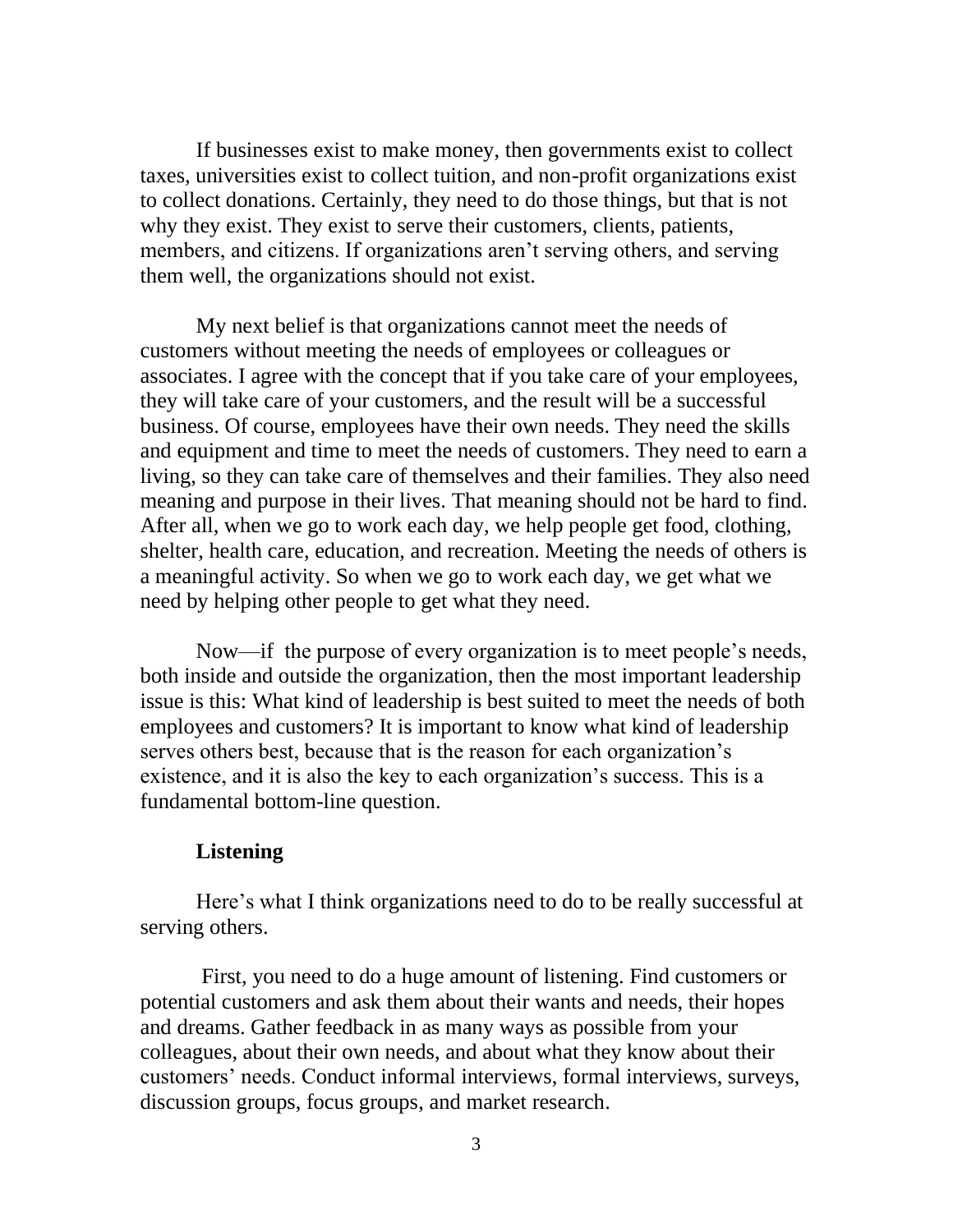If businesses exist to make money, then governments exist to collect taxes, universities exist to collect tuition, and non-profit organizations exist to collect donations. Certainly, they need to do those things, but that is not why they exist. They exist to serve their customers, clients, patients, members, and citizens. If organizations aren't serving others, and serving them well, the organizations should not exist.

My next belief is that organizations cannot meet the needs of customers without meeting the needs of employees or colleagues or associates. I agree with the concept that if you take care of your employees, they will take care of your customers, and the result will be a successful business. Of course, employees have their own needs. They need the skills and equipment and time to meet the needs of customers. They need to earn a living, so they can take care of themselves and their families. They also need meaning and purpose in their lives. That meaning should not be hard to find. After all, when we go to work each day, we help people get food, clothing, shelter, health care, education, and recreation. Meeting the needs of others is a meaningful activity. So when we go to work each day, we get what we need by helping other people to get what they need.

Now—if the purpose of every organization is to meet people's needs, both inside and outside the organization, then the most important leadership issue is this: What kind of leadership is best suited to meet the needs of both employees and customers? It is important to know what kind of leadership serves others best, because that is the reason for each organization's existence, and it is also the key to each organization's success. This is a fundamental bottom-line question.

## **Listening**

Here's what I think organizations need to do to be really successful at serving others.

First, you need to do a huge amount of listening. Find customers or potential customers and ask them about their wants and needs, their hopes and dreams. Gather feedback in as many ways as possible from your colleagues, about their own needs, and about what they know about their customers' needs. Conduct informal interviews, formal interviews, surveys, discussion groups, focus groups, and market research.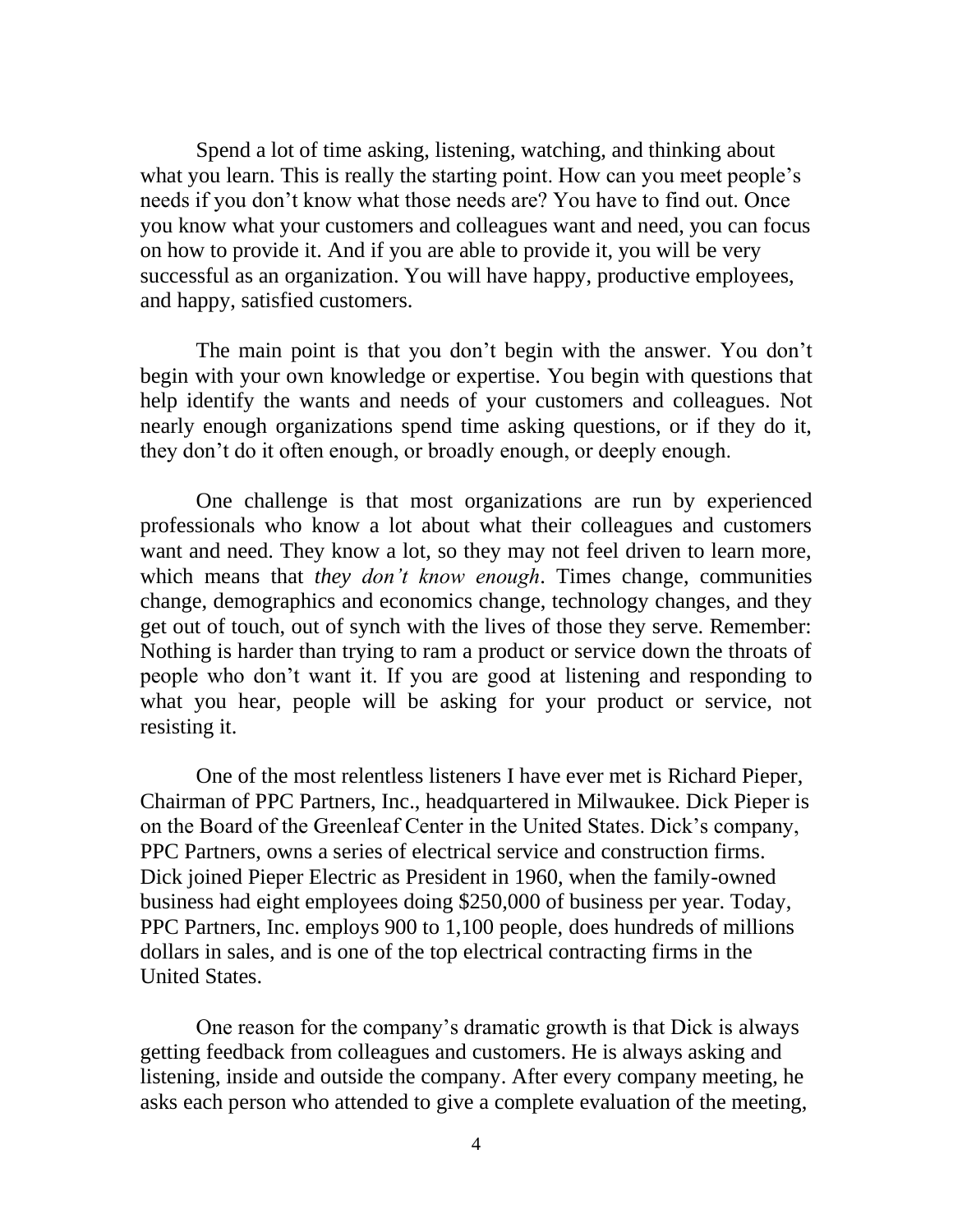Spend a lot of time asking, listening, watching, and thinking about what you learn. This is really the starting point. How can you meet people's needs if you don't know what those needs are? You have to find out. Once you know what your customers and colleagues want and need, you can focus on how to provide it. And if you are able to provide it, you will be very successful as an organization. You will have happy, productive employees, and happy, satisfied customers.

The main point is that you don't begin with the answer. You don't begin with your own knowledge or expertise. You begin with questions that help identify the wants and needs of your customers and colleagues. Not nearly enough organizations spend time asking questions, or if they do it, they don't do it often enough, or broadly enough, or deeply enough.

One challenge is that most organizations are run by experienced professionals who know a lot about what their colleagues and customers want and need. They know a lot, so they may not feel driven to learn more, which means that *they don't know enough*. Times change, communities change, demographics and economics change, technology changes, and they get out of touch, out of synch with the lives of those they serve. Remember: Nothing is harder than trying to ram a product or service down the throats of people who don't want it. If you are good at listening and responding to what you hear, people will be asking for your product or service, not resisting it.

One of the most relentless listeners I have ever met is Richard Pieper, Chairman of PPC Partners, Inc., headquartered in Milwaukee. Dick Pieper is on the Board of the Greenleaf Center in the United States. Dick's company, PPC Partners, owns a series of electrical service and construction firms. Dick joined Pieper Electric as President in 1960, when the family-owned business had eight employees doing \$250,000 of business per year. Today, PPC Partners, Inc. employs 900 to 1,100 people, does hundreds of millions dollars in sales, and is one of the top electrical contracting firms in the United States.

One reason for the company's dramatic growth is that Dick is always getting feedback from colleagues and customers. He is always asking and listening, inside and outside the company. After every company meeting, he asks each person who attended to give a complete evaluation of the meeting,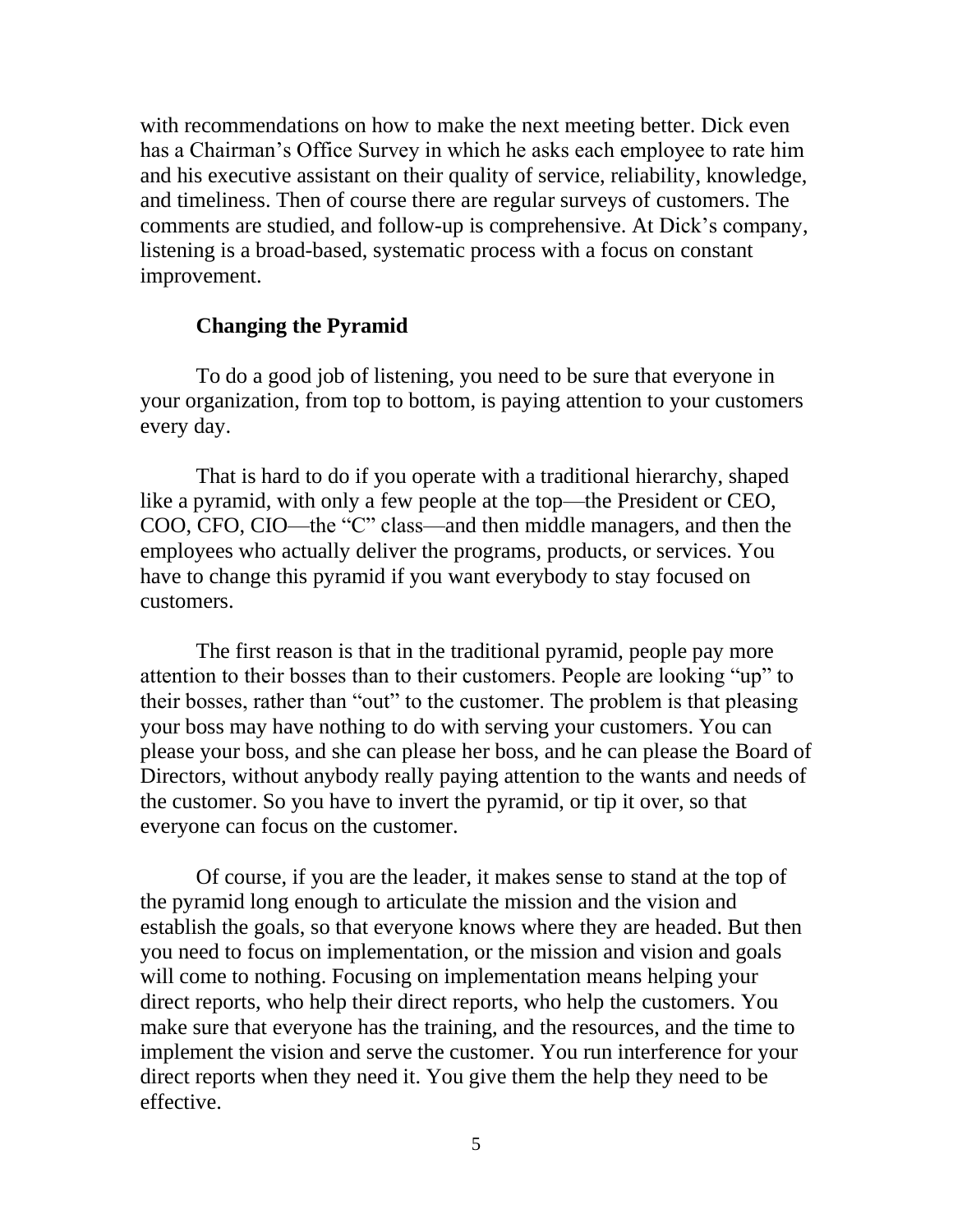with recommendations on how to make the next meeting better. Dick even has a Chairman's Office Survey in which he asks each employee to rate him and his executive assistant on their quality of service, reliability, knowledge, and timeliness. Then of course there are regular surveys of customers. The comments are studied, and follow-up is comprehensive. At Dick's company, listening is a broad-based, systematic process with a focus on constant improvement.

### **Changing the Pyramid**

To do a good job of listening, you need to be sure that everyone in your organization, from top to bottom, is paying attention to your customers every day.

That is hard to do if you operate with a traditional hierarchy, shaped like a pyramid, with only a few people at the top—the President or CEO, COO, CFO, CIO—the "C" class—and then middle managers, and then the employees who actually deliver the programs, products, or services. You have to change this pyramid if you want everybody to stay focused on customers.

The first reason is that in the traditional pyramid, people pay more attention to their bosses than to their customers. People are looking "up" to their bosses, rather than "out" to the customer. The problem is that pleasing your boss may have nothing to do with serving your customers. You can please your boss, and she can please her boss, and he can please the Board of Directors, without anybody really paying attention to the wants and needs of the customer. So you have to invert the pyramid, or tip it over, so that everyone can focus on the customer.

Of course, if you are the leader, it makes sense to stand at the top of the pyramid long enough to articulate the mission and the vision and establish the goals, so that everyone knows where they are headed. But then you need to focus on implementation, or the mission and vision and goals will come to nothing. Focusing on implementation means helping your direct reports, who help their direct reports, who help the customers. You make sure that everyone has the training, and the resources, and the time to implement the vision and serve the customer. You run interference for your direct reports when they need it. You give them the help they need to be effective.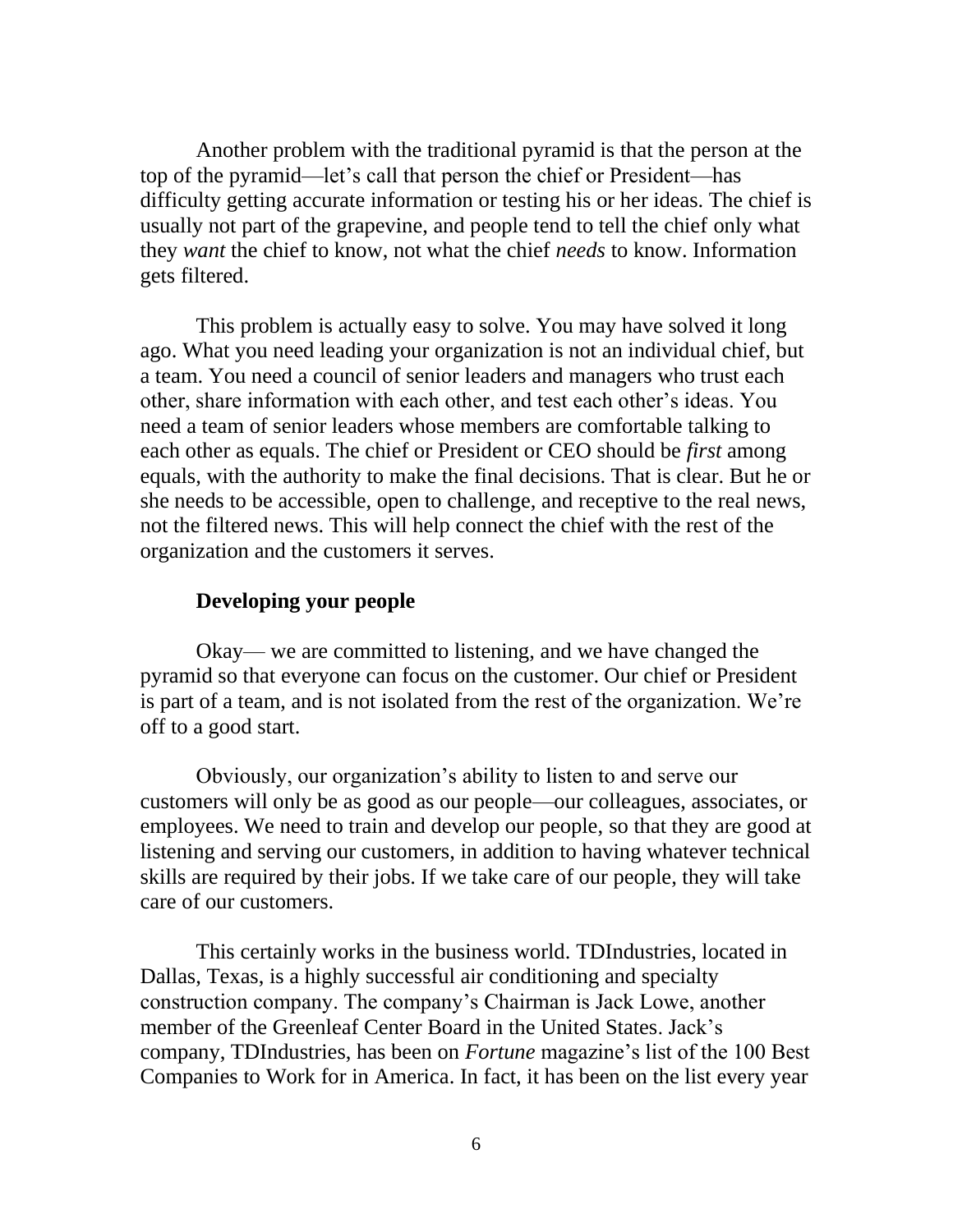Another problem with the traditional pyramid is that the person at the top of the pyramid—let's call that person the chief or President—has difficulty getting accurate information or testing his or her ideas. The chief is usually not part of the grapevine, and people tend to tell the chief only what they *want* the chief to know, not what the chief *needs* to know. Information gets filtered.

This problem is actually easy to solve. You may have solved it long ago. What you need leading your organization is not an individual chief, but a team. You need a council of senior leaders and managers who trust each other, share information with each other, and test each other's ideas. You need a team of senior leaders whose members are comfortable talking to each other as equals. The chief or President or CEO should be *first* among equals, with the authority to make the final decisions. That is clear. But he or she needs to be accessible, open to challenge, and receptive to the real news, not the filtered news. This will help connect the chief with the rest of the organization and the customers it serves.

### **Developing your people**

Okay— we are committed to listening, and we have changed the pyramid so that everyone can focus on the customer. Our chief or President is part of a team, and is not isolated from the rest of the organization. We're off to a good start.

Obviously, our organization's ability to listen to and serve our customers will only be as good as our people—our colleagues, associates, or employees. We need to train and develop our people, so that they are good at listening and serving our customers, in addition to having whatever technical skills are required by their jobs. If we take care of our people, they will take care of our customers.

This certainly works in the business world. TDIndustries, located in Dallas, Texas, is a highly successful air conditioning and specialty construction company. The company's Chairman is Jack Lowe, another member of the Greenleaf Center Board in the United States. Jack's company, TDIndustries, has been on *Fortune* magazine's list of the 100 Best Companies to Work for in America. In fact, it has been on the list every year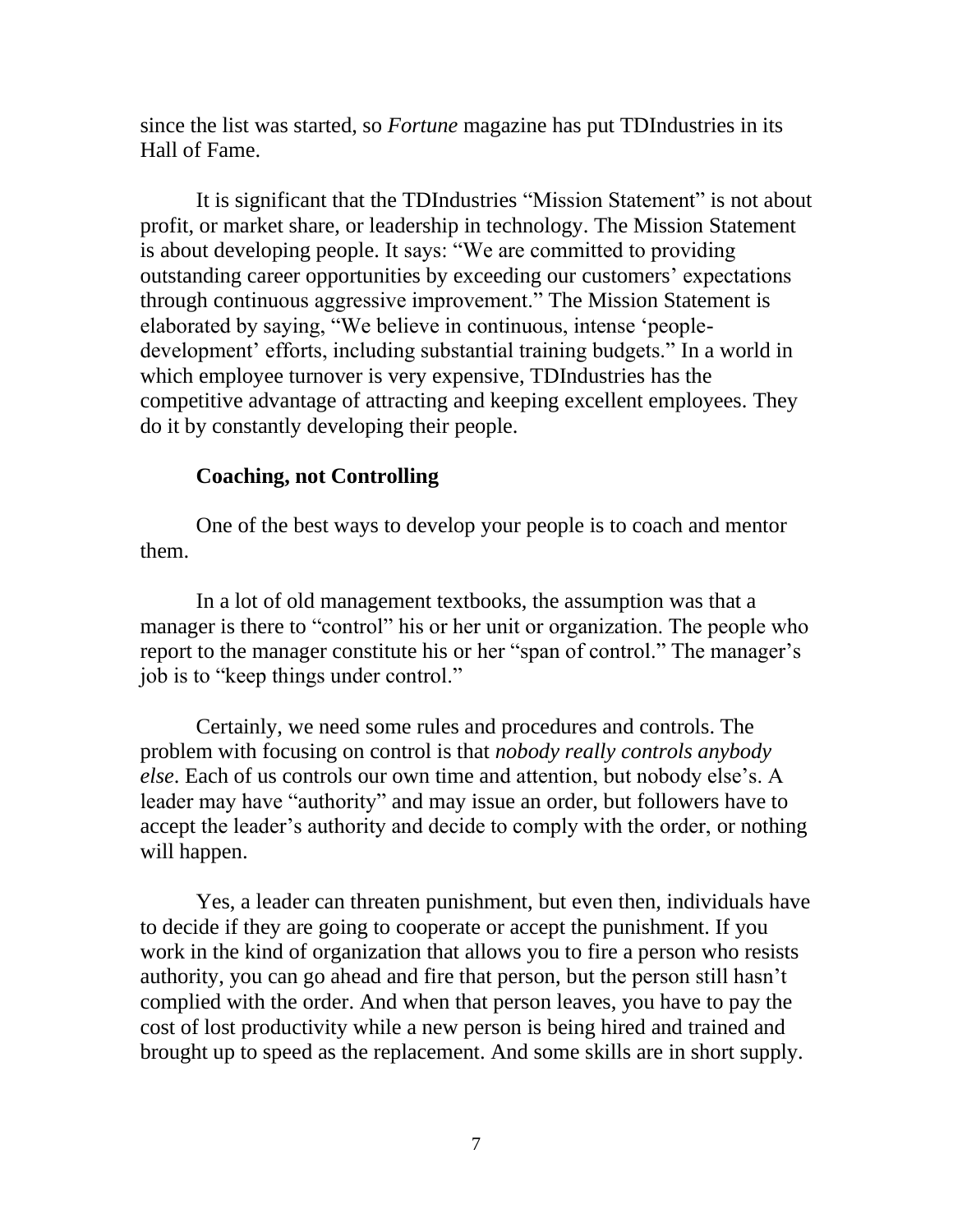since the list was started, so *Fortune* magazine has put TDIndustries in its Hall of Fame.

It is significant that the TDIndustries "Mission Statement" is not about profit, or market share, or leadership in technology. The Mission Statement is about developing people. It says: "We are committed to providing outstanding career opportunities by exceeding our customers' expectations through continuous aggressive improvement." The Mission Statement is elaborated by saying, "We believe in continuous, intense 'peopledevelopment' efforts, including substantial training budgets." In a world in which employee turnover is very expensive, TDIndustries has the competitive advantage of attracting and keeping excellent employees. They do it by constantly developing their people.

### **Coaching, not Controlling**

One of the best ways to develop your people is to coach and mentor them.

In a lot of old management textbooks, the assumption was that a manager is there to "control" his or her unit or organization. The people who report to the manager constitute his or her "span of control." The manager's job is to "keep things under control."

Certainly, we need some rules and procedures and controls. The problem with focusing on control is that *nobody really controls anybody else*. Each of us controls our own time and attention, but nobody else's. A leader may have "authority" and may issue an order, but followers have to accept the leader's authority and decide to comply with the order, or nothing will happen.

Yes, a leader can threaten punishment, but even then, individuals have to decide if they are going to cooperate or accept the punishment. If you work in the kind of organization that allows you to fire a person who resists authority, you can go ahead and fire that person, but the person still hasn't complied with the order. And when that person leaves, you have to pay the cost of lost productivity while a new person is being hired and trained and brought up to speed as the replacement. And some skills are in short supply.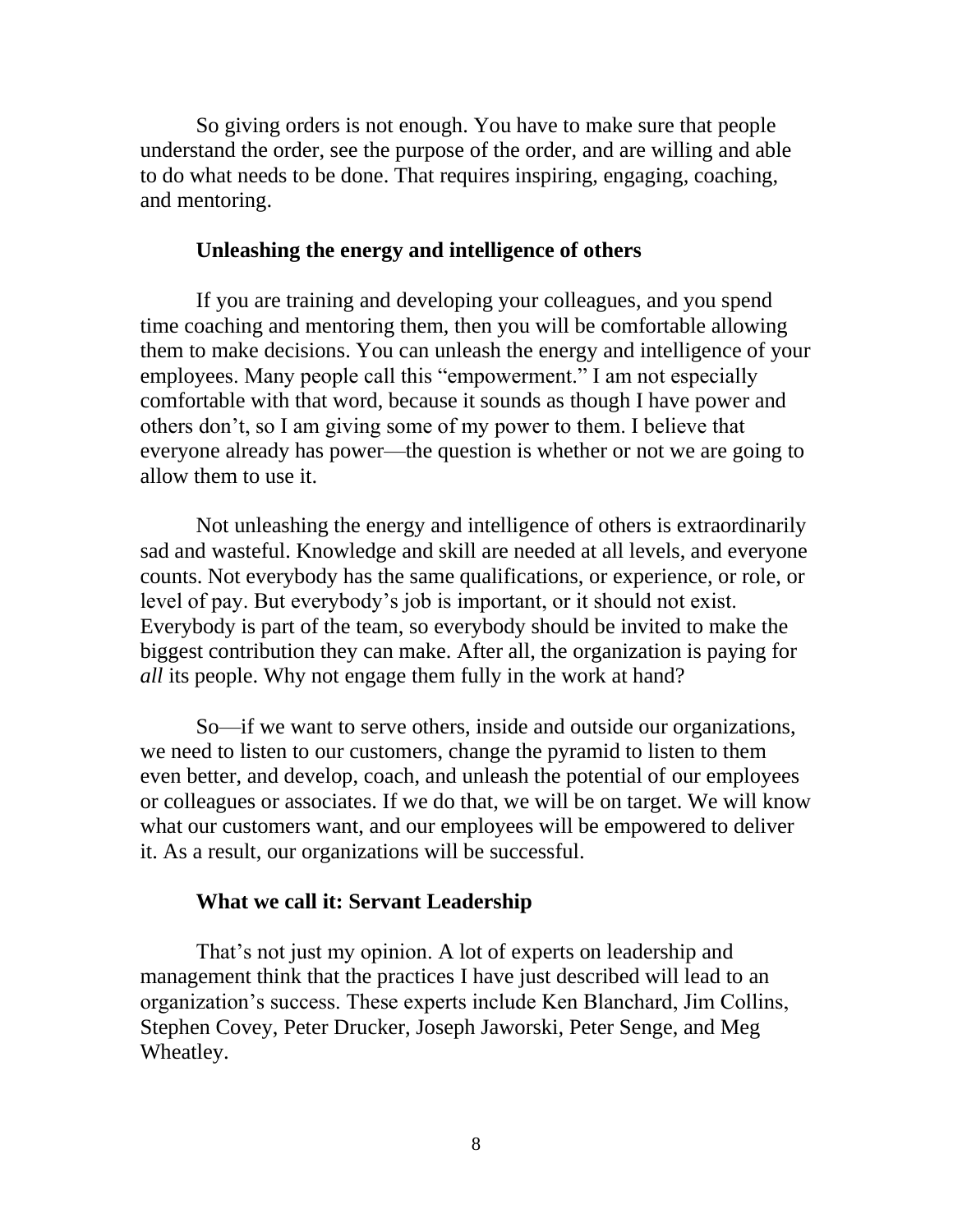So giving orders is not enough. You have to make sure that people understand the order, see the purpose of the order, and are willing and able to do what needs to be done. That requires inspiring, engaging, coaching, and mentoring.

## **Unleashing the energy and intelligence of others**

If you are training and developing your colleagues, and you spend time coaching and mentoring them, then you will be comfortable allowing them to make decisions. You can unleash the energy and intelligence of your employees. Many people call this "empowerment." I am not especially comfortable with that word, because it sounds as though I have power and others don't, so I am giving some of my power to them. I believe that everyone already has power—the question is whether or not we are going to allow them to use it.

Not unleashing the energy and intelligence of others is extraordinarily sad and wasteful. Knowledge and skill are needed at all levels, and everyone counts. Not everybody has the same qualifications, or experience, or role, or level of pay. But everybody's job is important, or it should not exist. Everybody is part of the team, so everybody should be invited to make the biggest contribution they can make. After all, the organization is paying for *all* its people. Why not engage them fully in the work at hand?

So—if we want to serve others, inside and outside our organizations, we need to listen to our customers, change the pyramid to listen to them even better, and develop, coach, and unleash the potential of our employees or colleagues or associates. If we do that, we will be on target. We will know what our customers want, and our employees will be empowered to deliver it. As a result, our organizations will be successful.

### **What we call it: Servant Leadership**

That's not just my opinion. A lot of experts on leadership and management think that the practices I have just described will lead to an organization's success. These experts include Ken Blanchard, Jim Collins, Stephen Covey, Peter Drucker, Joseph Jaworski, Peter Senge, and Meg Wheatley.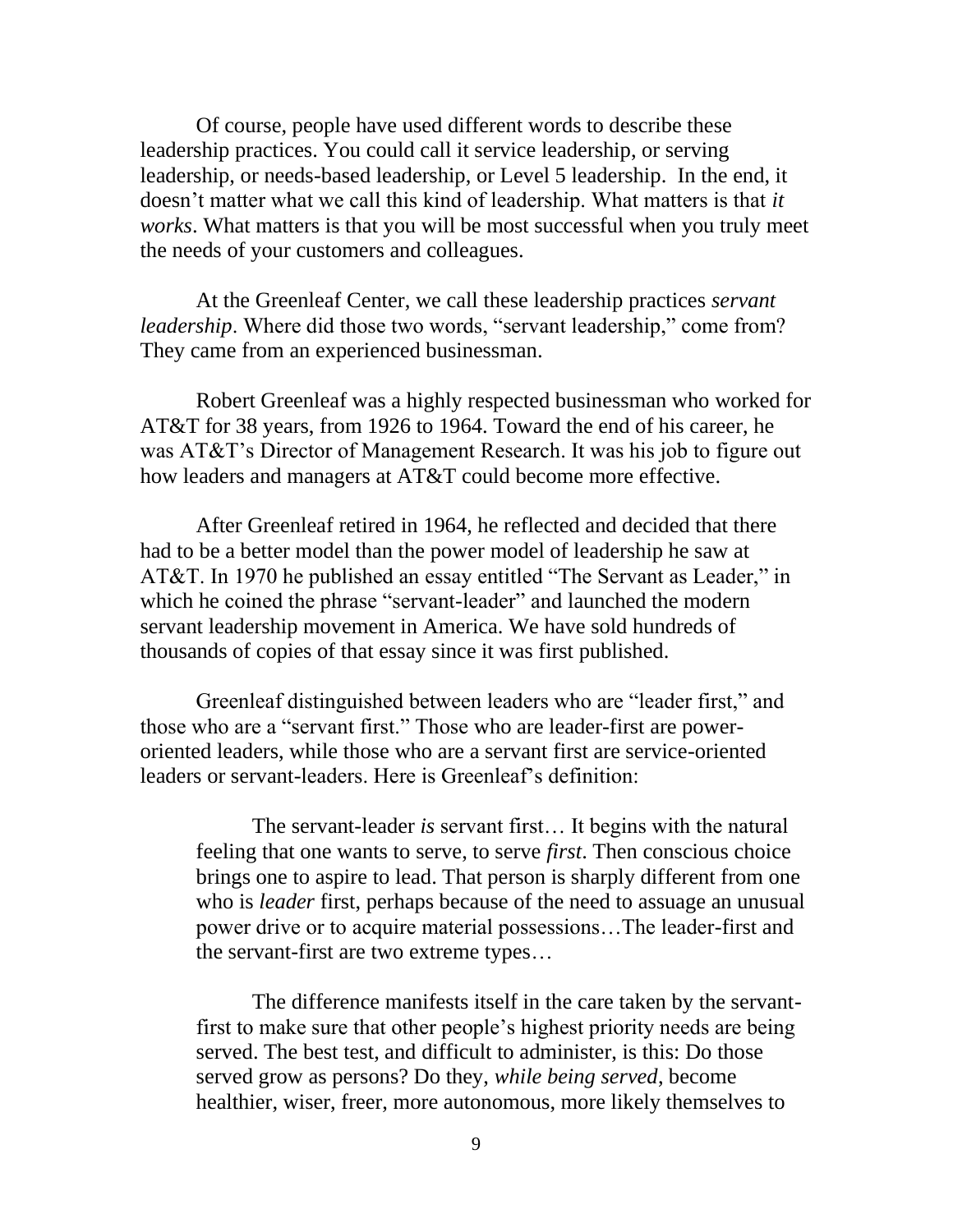Of course, people have used different words to describe these leadership practices. You could call it service leadership, or serving leadership, or needs-based leadership, or Level 5 leadership. In the end, it doesn't matter what we call this kind of leadership. What matters is that *it works*. What matters is that you will be most successful when you truly meet the needs of your customers and colleagues.

At the Greenleaf Center, we call these leadership practices *servant leadership*. Where did those two words, "servant leadership," come from? They came from an experienced businessman.

Robert Greenleaf was a highly respected businessman who worked for AT&T for 38 years, from 1926 to 1964. Toward the end of his career, he was AT&T's Director of Management Research. It was his job to figure out how leaders and managers at AT&T could become more effective.

After Greenleaf retired in 1964, he reflected and decided that there had to be a better model than the power model of leadership he saw at AT&T. In 1970 he published an essay entitled "The Servant as Leader," in which he coined the phrase "servant-leader" and launched the modern servant leadership movement in America. We have sold hundreds of thousands of copies of that essay since it was first published.

Greenleaf distinguished between leaders who are "leader first," and those who are a "servant first." Those who are leader-first are poweroriented leaders, while those who are a servant first are service-oriented leaders or servant-leaders. Here is Greenleaf's definition:

The servant-leader *is* servant first… It begins with the natural feeling that one wants to serve, to serve *first*. Then conscious choice brings one to aspire to lead. That person is sharply different from one who is *leader* first, perhaps because of the need to assuage an unusual power drive or to acquire material possessions…The leader-first and the servant-first are two extreme types…

The difference manifests itself in the care taken by the servantfirst to make sure that other people's highest priority needs are being served. The best test, and difficult to administer, is this: Do those served grow as persons? Do they, *while being served*, become healthier, wiser, freer, more autonomous, more likely themselves to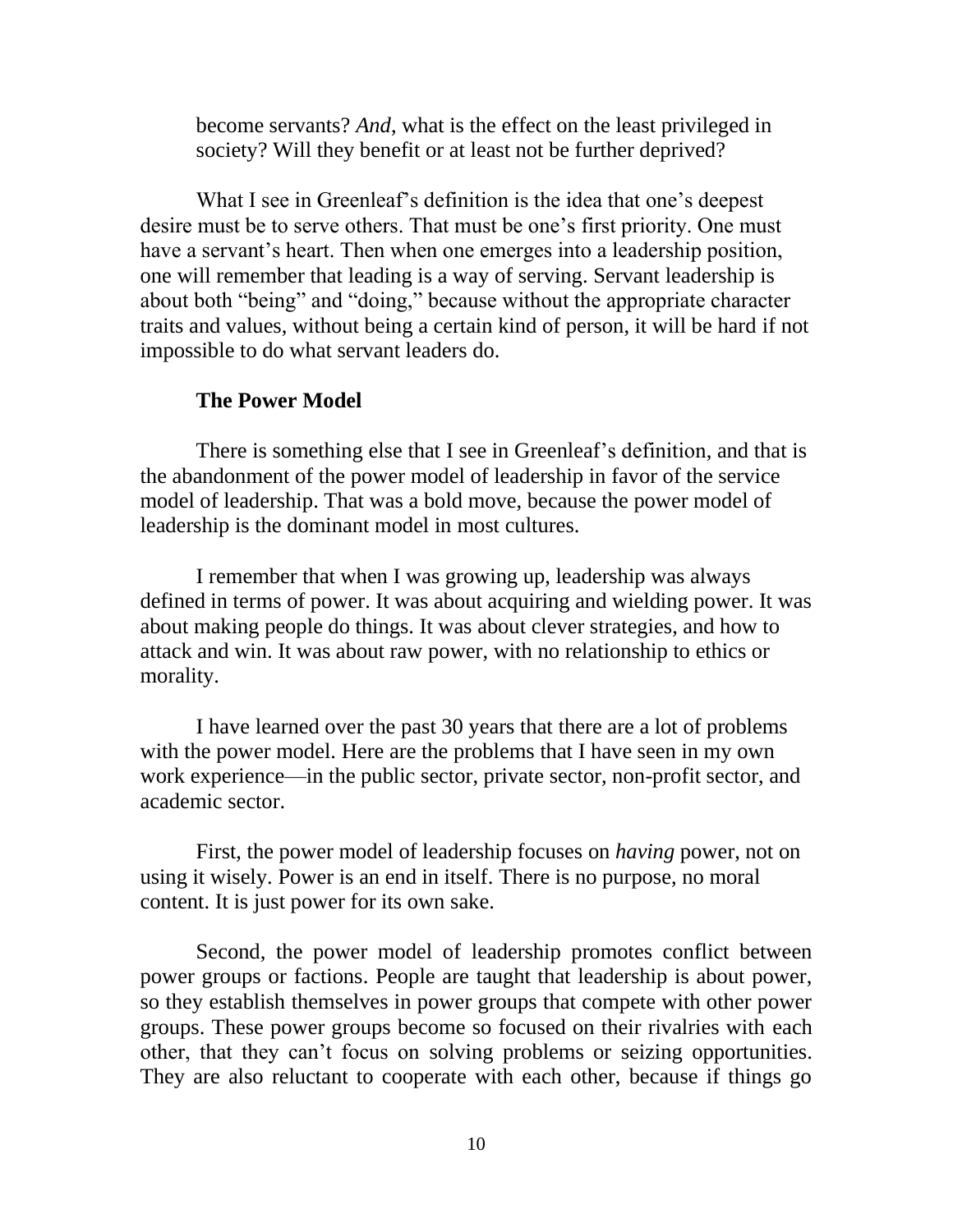become servants? *And*, what is the effect on the least privileged in society? Will they benefit or at least not be further deprived?

What I see in Greenleaf's definition is the idea that one's deepest desire must be to serve others. That must be one's first priority. One must have a servant's heart. Then when one emerges into a leadership position, one will remember that leading is a way of serving. Servant leadership is about both "being" and "doing," because without the appropriate character traits and values, without being a certain kind of person, it will be hard if not impossible to do what servant leaders do.

### **The Power Model**

There is something else that I see in Greenleaf's definition, and that is the abandonment of the power model of leadership in favor of the service model of leadership. That was a bold move, because the power model of leadership is the dominant model in most cultures.

I remember that when I was growing up, leadership was always defined in terms of power. It was about acquiring and wielding power. It was about making people do things. It was about clever strategies, and how to attack and win. It was about raw power, with no relationship to ethics or morality.

I have learned over the past 30 years that there are a lot of problems with the power model. Here are the problems that I have seen in my own work experience—in the public sector, private sector, non-profit sector, and academic sector.

First, the power model of leadership focuses on *having* power, not on using it wisely. Power is an end in itself. There is no purpose, no moral content. It is just power for its own sake.

Second, the power model of leadership promotes conflict between power groups or factions. People are taught that leadership is about power, so they establish themselves in power groups that compete with other power groups. These power groups become so focused on their rivalries with each other, that they can't focus on solving problems or seizing opportunities. They are also reluctant to cooperate with each other, because if things go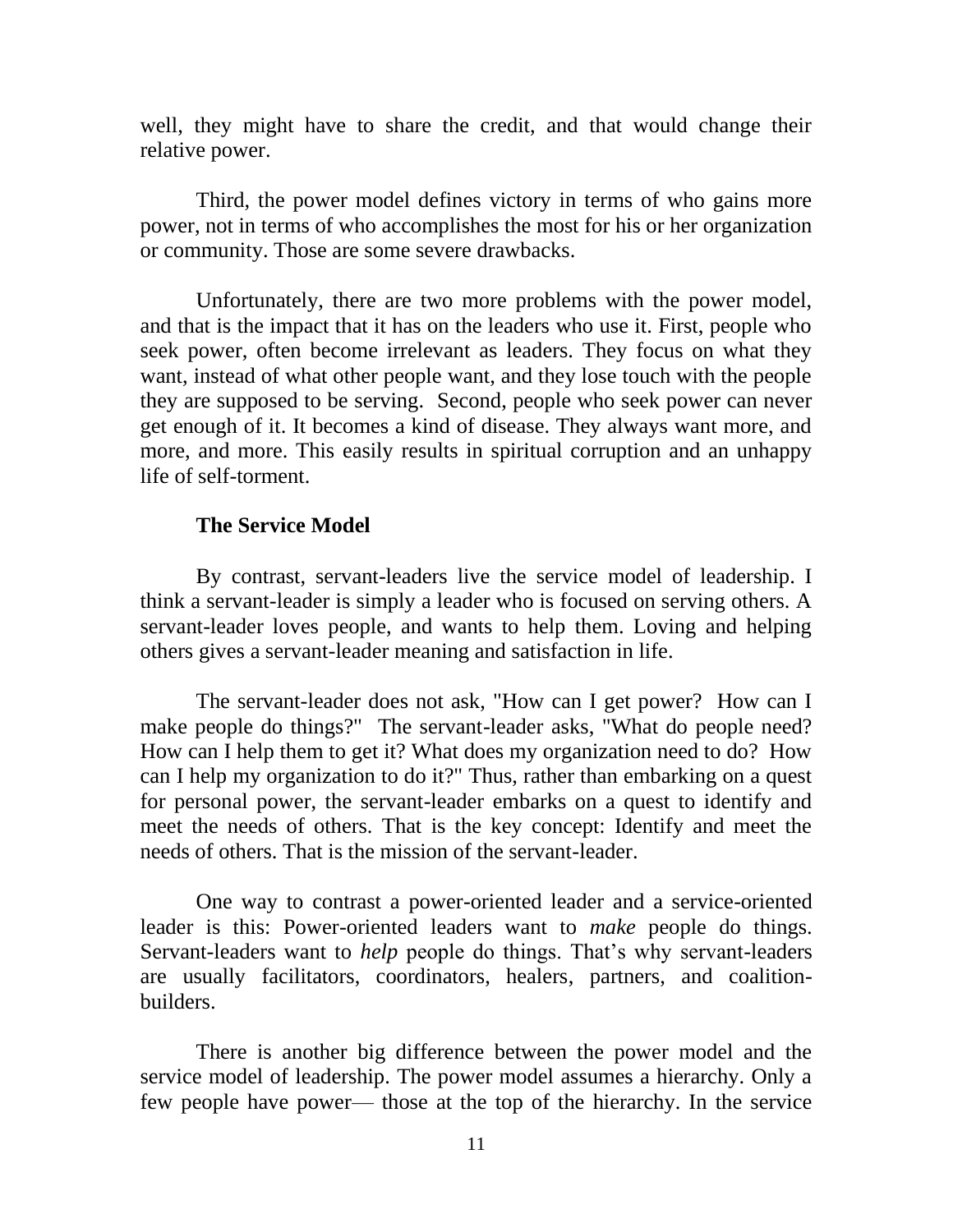well, they might have to share the credit, and that would change their relative power.

Third, the power model defines victory in terms of who gains more power, not in terms of who accomplishes the most for his or her organization or community. Those are some severe drawbacks.

Unfortunately, there are two more problems with the power model, and that is the impact that it has on the leaders who use it. First, people who seek power, often become irrelevant as leaders. They focus on what they want, instead of what other people want, and they lose touch with the people they are supposed to be serving. Second, people who seek power can never get enough of it. It becomes a kind of disease. They always want more, and more, and more. This easily results in spiritual corruption and an unhappy life of self-torment.

### **The Service Model**

By contrast, servant-leaders live the service model of leadership. I think a servant-leader is simply a leader who is focused on serving others. A servant-leader loves people, and wants to help them. Loving and helping others gives a servant-leader meaning and satisfaction in life.

The servant-leader does not ask, "How can I get power? How can I make people do things?" The servant-leader asks, "What do people need? How can I help them to get it? What does my organization need to do? How can I help my organization to do it?" Thus, rather than embarking on a quest for personal power, the servant-leader embarks on a quest to identify and meet the needs of others. That is the key concept: Identify and meet the needs of others. That is the mission of the servant-leader.

One way to contrast a power-oriented leader and a service-oriented leader is this: Power-oriented leaders want to *make* people do things. Servant-leaders want to *help* people do things. That's why servant-leaders are usually facilitators, coordinators, healers, partners, and coalitionbuilders.

There is another big difference between the power model and the service model of leadership. The power model assumes a hierarchy. Only a few people have power— those at the top of the hierarchy. In the service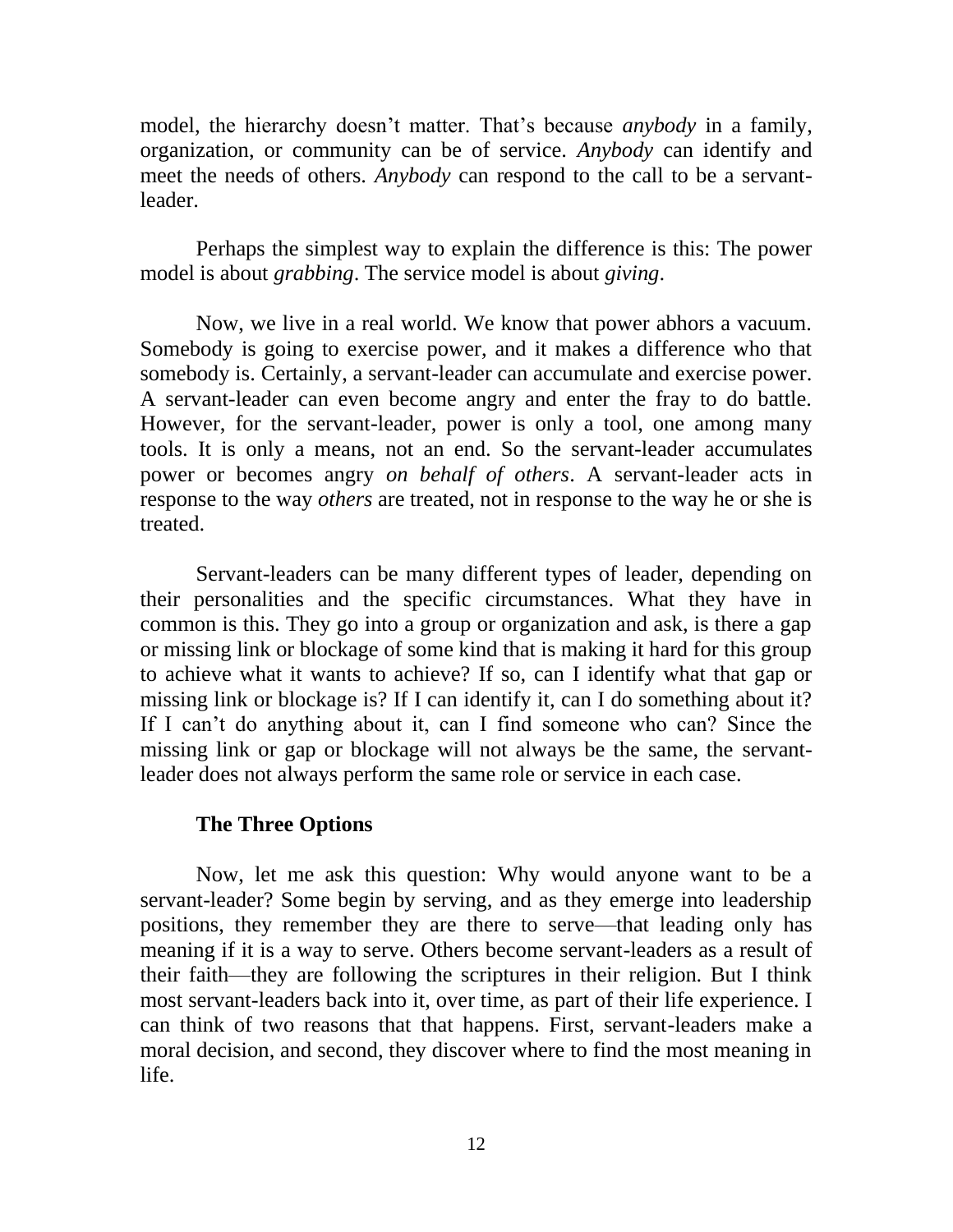model, the hierarchy doesn't matter. That's because *anybody* in a family, organization, or community can be of service. *Anybody* can identify and meet the needs of others. *Anybody* can respond to the call to be a servantleader.

Perhaps the simplest way to explain the difference is this: The power model is about *grabbing*. The service model is about *giving*.

Now, we live in a real world. We know that power abhors a vacuum. Somebody is going to exercise power, and it makes a difference who that somebody is. Certainly, a servant-leader can accumulate and exercise power. A servant-leader can even become angry and enter the fray to do battle. However, for the servant-leader, power is only a tool, one among many tools. It is only a means, not an end. So the servant-leader accumulates power or becomes angry *on behalf of others*. A servant-leader acts in response to the way *others* are treated, not in response to the way he or she is treated.

Servant-leaders can be many different types of leader, depending on their personalities and the specific circumstances. What they have in common is this. They go into a group or organization and ask, is there a gap or missing link or blockage of some kind that is making it hard for this group to achieve what it wants to achieve? If so, can I identify what that gap or missing link or blockage is? If I can identify it, can I do something about it? If I can't do anything about it, can I find someone who can? Since the missing link or gap or blockage will not always be the same, the servantleader does not always perform the same role or service in each case.

#### **The Three Options**

Now, let me ask this question: Why would anyone want to be a servant-leader? Some begin by serving, and as they emerge into leadership positions, they remember they are there to serve—that leading only has meaning if it is a way to serve. Others become servant-leaders as a result of their faith—they are following the scriptures in their religion. But I think most servant-leaders back into it, over time, as part of their life experience. I can think of two reasons that that happens. First, servant-leaders make a moral decision, and second, they discover where to find the most meaning in life.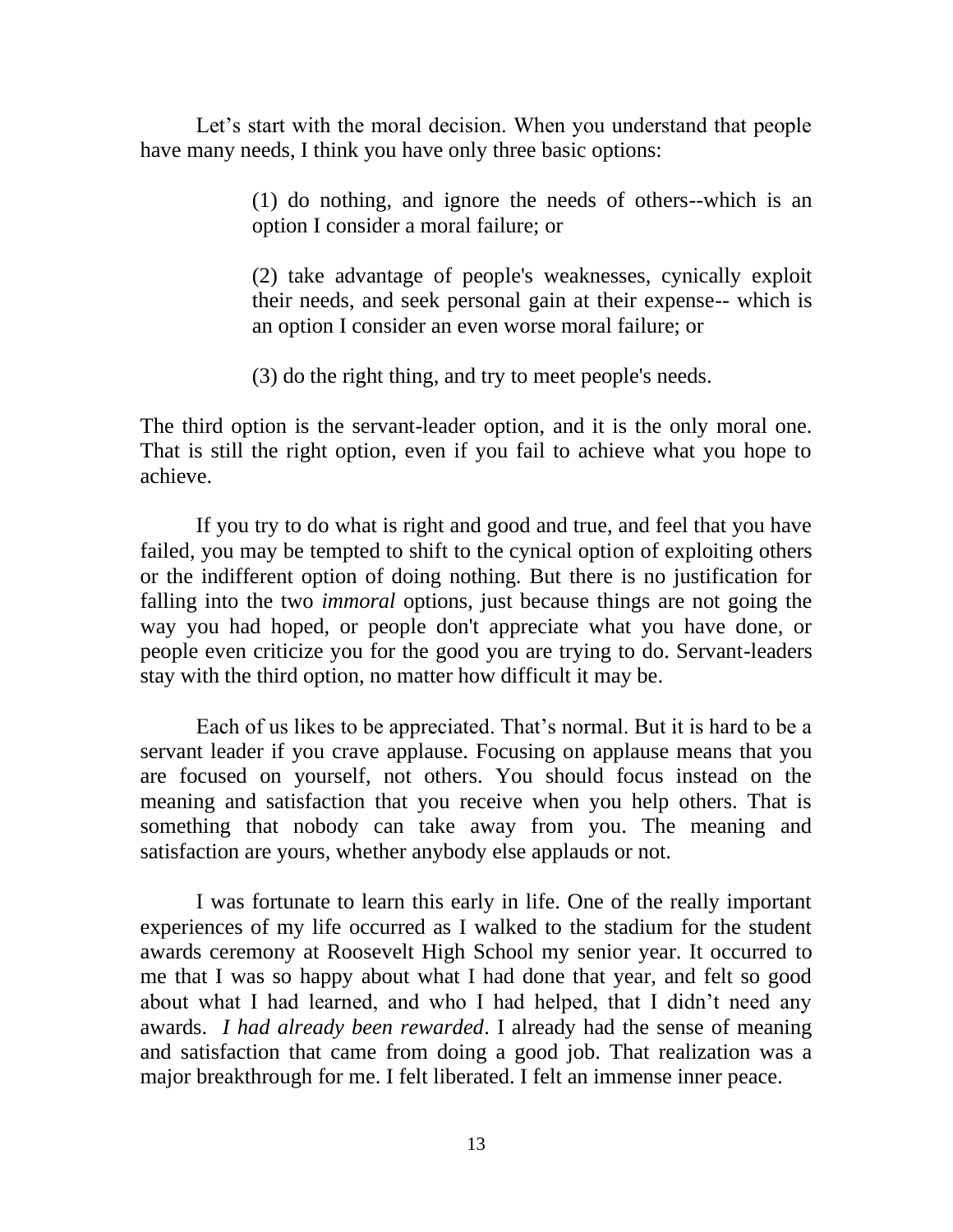Let's start with the moral decision. When you understand that people have many needs, I think you have only three basic options:

> (1) do nothing, and ignore the needs of others--which is an option I consider a moral failure; or

> (2) take advantage of people's weaknesses, cynically exploit their needs, and seek personal gain at their expense-- which is an option I consider an even worse moral failure; or

(3) do the right thing, and try to meet people's needs.

The third option is the servant-leader option, and it is the only moral one. That is still the right option, even if you fail to achieve what you hope to achieve.

If you try to do what is right and good and true, and feel that you have failed, you may be tempted to shift to the cynical option of exploiting others or the indifferent option of doing nothing. But there is no justification for falling into the two *immoral* options, just because things are not going the way you had hoped, or people don't appreciate what you have done, or people even criticize you for the good you are trying to do. Servant-leaders stay with the third option, no matter how difficult it may be.

Each of us likes to be appreciated. That's normal. But it is hard to be a servant leader if you crave applause. Focusing on applause means that you are focused on yourself, not others. You should focus instead on the meaning and satisfaction that you receive when you help others. That is something that nobody can take away from you. The meaning and satisfaction are yours, whether anybody else applauds or not.

I was fortunate to learn this early in life. One of the really important experiences of my life occurred as I walked to the stadium for the student awards ceremony at Roosevelt High School my senior year. It occurred to me that I was so happy about what I had done that year, and felt so good about what I had learned, and who I had helped, that I didn't need any awards. *I had already been rewarded*. I already had the sense of meaning and satisfaction that came from doing a good job. That realization was a major breakthrough for me. I felt liberated. I felt an immense inner peace.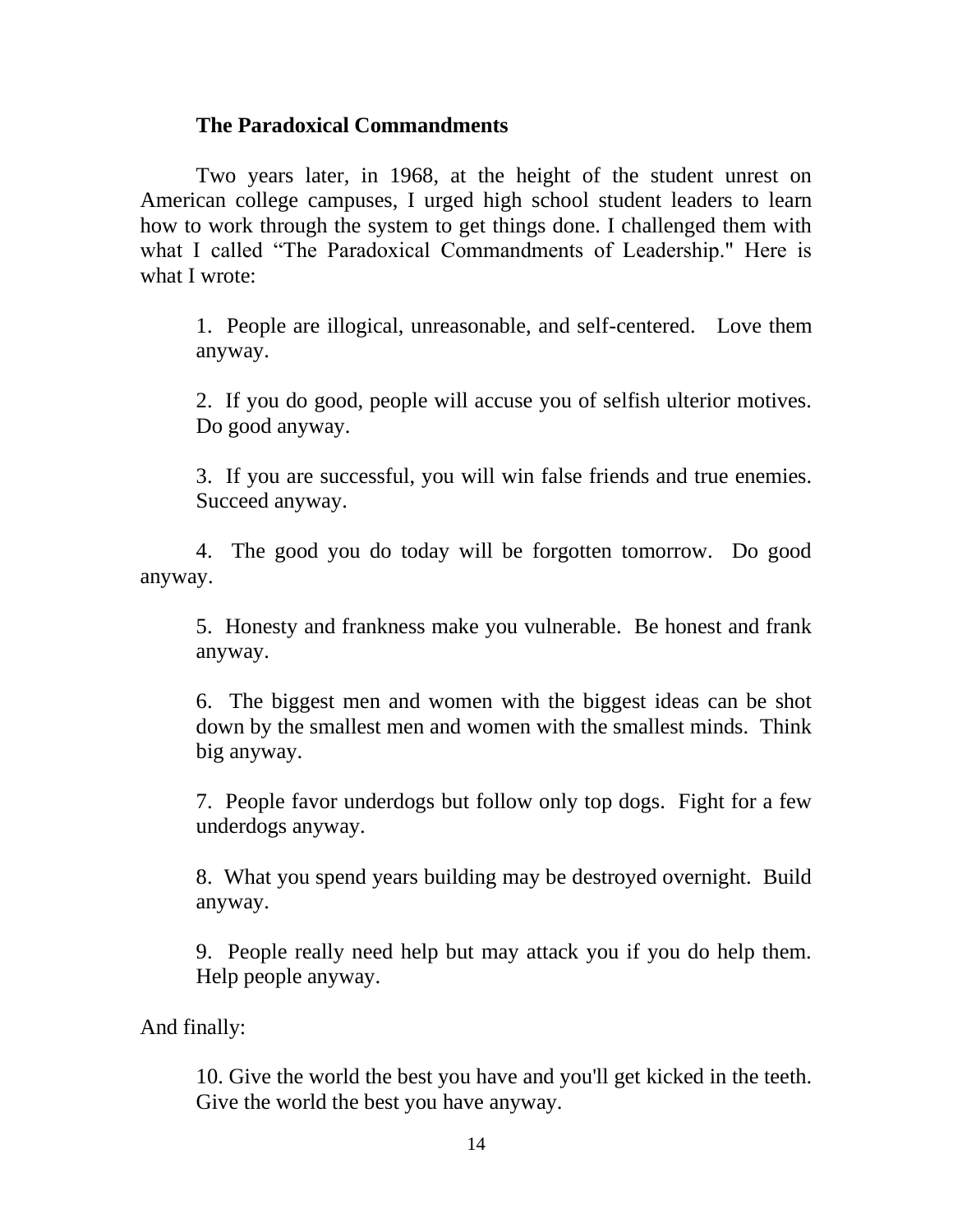## **The Paradoxical Commandments**

Two years later, in 1968, at the height of the student unrest on American college campuses, I urged high school student leaders to learn how to work through the system to get things done. I challenged them with what I called "The Paradoxical Commandments of Leadership." Here is what I wrote:

1. People are illogical, unreasonable, and self-centered. Love them anyway.

2. If you do good, people will accuse you of selfish ulterior motives. Do good anyway.

3. If you are successful, you will win false friends and true enemies. Succeed anyway.

4. The good you do today will be forgotten tomorrow. Do good anyway.

5. Honesty and frankness make you vulnerable. Be honest and frank anyway.

6. The biggest men and women with the biggest ideas can be shot down by the smallest men and women with the smallest minds. Think big anyway.

7. People favor underdogs but follow only top dogs. Fight for a few underdogs anyway.

8. What you spend years building may be destroyed overnight. Build anyway.

9. People really need help but may attack you if you do help them. Help people anyway.

And finally:

10. Give the world the best you have and you'll get kicked in the teeth. Give the world the best you have anyway.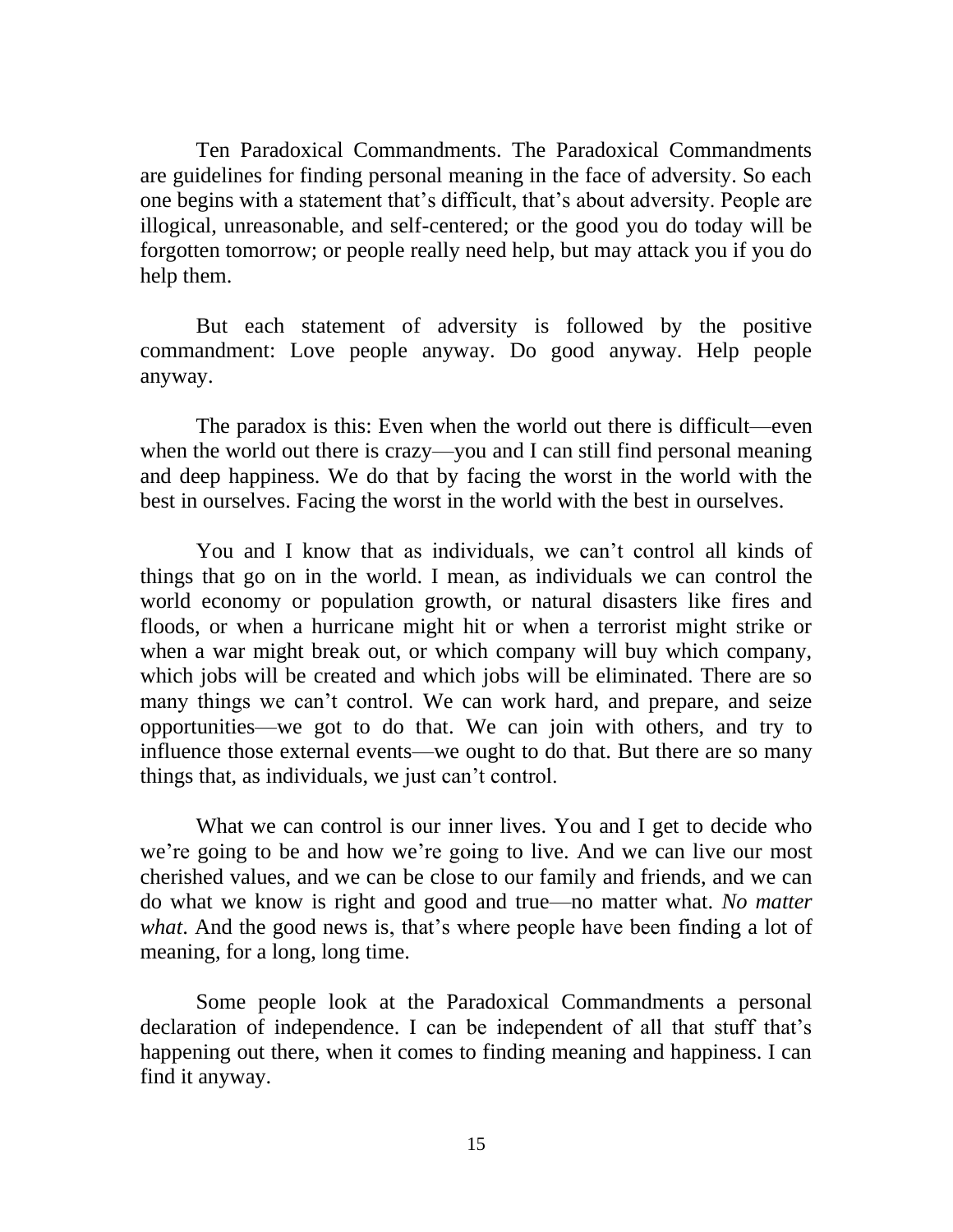Ten Paradoxical Commandments. The Paradoxical Commandments are guidelines for finding personal meaning in the face of adversity. So each one begins with a statement that's difficult, that's about adversity. People are illogical, unreasonable, and self-centered; or the good you do today will be forgotten tomorrow; or people really need help, but may attack you if you do help them.

But each statement of adversity is followed by the positive commandment: Love people anyway. Do good anyway. Help people anyway.

The paradox is this: Even when the world out there is difficult—even when the world out there is crazy—you and I can still find personal meaning and deep happiness. We do that by facing the worst in the world with the best in ourselves. Facing the worst in the world with the best in ourselves.

You and I know that as individuals, we can't control all kinds of things that go on in the world. I mean, as individuals we can control the world economy or population growth, or natural disasters like fires and floods, or when a hurricane might hit or when a terrorist might strike or when a war might break out, or which company will buy which company, which jobs will be created and which jobs will be eliminated. There are so many things we can't control. We can work hard, and prepare, and seize opportunities—we got to do that. We can join with others, and try to influence those external events—we ought to do that. But there are so many things that, as individuals, we just can't control.

What we can control is our inner lives. You and I get to decide who we're going to be and how we're going to live. And we can live our most cherished values, and we can be close to our family and friends, and we can do what we know is right and good and true—no matter what. *No matter what*. And the good news is, that's where people have been finding a lot of meaning, for a long, long time.

Some people look at the Paradoxical Commandments a personal declaration of independence. I can be independent of all that stuff that's happening out there, when it comes to finding meaning and happiness. I can find it anyway.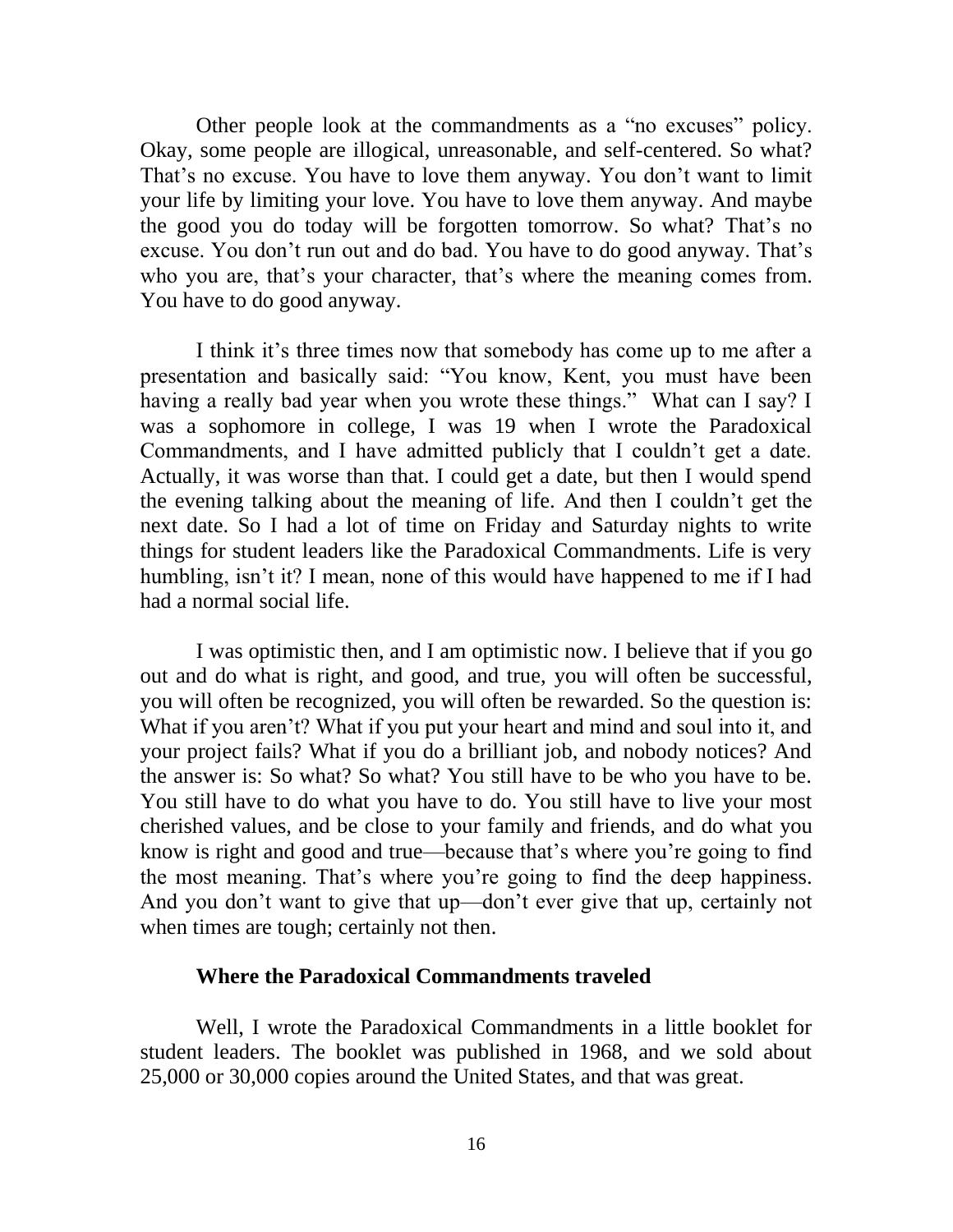Other people look at the commandments as a "no excuses" policy. Okay, some people are illogical, unreasonable, and self-centered. So what? That's no excuse. You have to love them anyway. You don't want to limit your life by limiting your love. You have to love them anyway. And maybe the good you do today will be forgotten tomorrow. So what? That's no excuse. You don't run out and do bad. You have to do good anyway. That's who you are, that's your character, that's where the meaning comes from. You have to do good anyway.

I think it's three times now that somebody has come up to me after a presentation and basically said: "You know, Kent, you must have been having a really bad year when you wrote these things." What can I say? I was a sophomore in college, I was 19 when I wrote the Paradoxical Commandments, and I have admitted publicly that I couldn't get a date. Actually, it was worse than that. I could get a date, but then I would spend the evening talking about the meaning of life. And then I couldn't get the next date. So I had a lot of time on Friday and Saturday nights to write things for student leaders like the Paradoxical Commandments. Life is very humbling, isn't it? I mean, none of this would have happened to me if I had had a normal social life.

I was optimistic then, and I am optimistic now. I believe that if you go out and do what is right, and good, and true, you will often be successful, you will often be recognized, you will often be rewarded. So the question is: What if you aren't? What if you put your heart and mind and soul into it, and your project fails? What if you do a brilliant job, and nobody notices? And the answer is: So what? So what? You still have to be who you have to be. You still have to do what you have to do. You still have to live your most cherished values, and be close to your family and friends, and do what you know is right and good and true—because that's where you're going to find the most meaning. That's where you're going to find the deep happiness. And you don't want to give that up—don't ever give that up, certainly not when times are tough; certainly not then.

### **Where the Paradoxical Commandments traveled**

Well, I wrote the Paradoxical Commandments in a little booklet for student leaders. The booklet was published in 1968, and we sold about 25,000 or 30,000 copies around the United States, and that was great.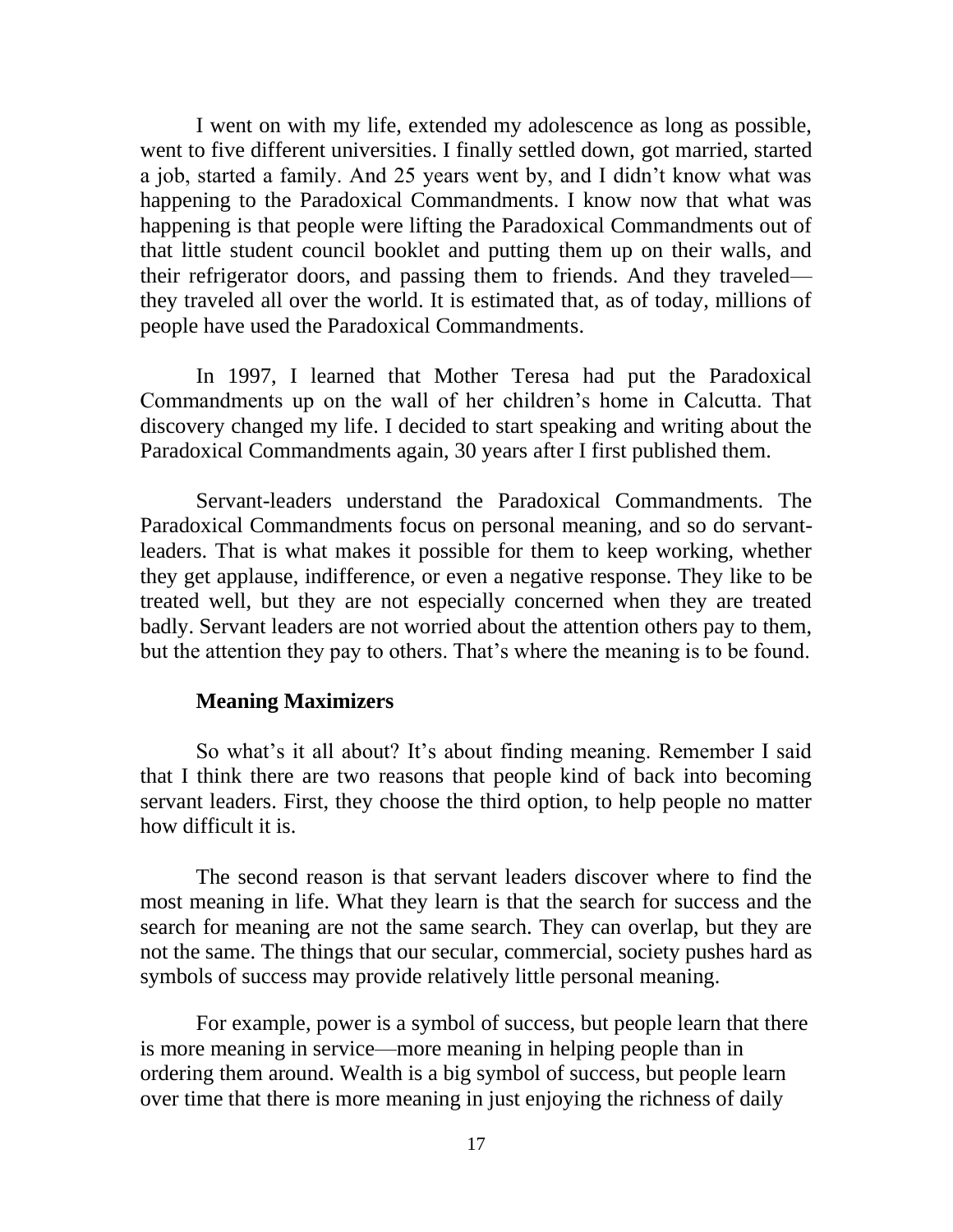I went on with my life, extended my adolescence as long as possible, went to five different universities. I finally settled down, got married, started a job, started a family. And 25 years went by, and I didn't know what was happening to the Paradoxical Commandments. I know now that what was happening is that people were lifting the Paradoxical Commandments out of that little student council booklet and putting them up on their walls, and their refrigerator doors, and passing them to friends. And they traveled they traveled all over the world. It is estimated that, as of today, millions of people have used the Paradoxical Commandments.

In 1997, I learned that Mother Teresa had put the Paradoxical Commandments up on the wall of her children's home in Calcutta. That discovery changed my life. I decided to start speaking and writing about the Paradoxical Commandments again, 30 years after I first published them.

Servant-leaders understand the Paradoxical Commandments. The Paradoxical Commandments focus on personal meaning, and so do servantleaders. That is what makes it possible for them to keep working, whether they get applause, indifference, or even a negative response. They like to be treated well, but they are not especially concerned when they are treated badly. Servant leaders are not worried about the attention others pay to them, but the attention they pay to others. That's where the meaning is to be found.

### **Meaning Maximizers**

So what's it all about? It's about finding meaning. Remember I said that I think there are two reasons that people kind of back into becoming servant leaders. First, they choose the third option, to help people no matter how difficult it is.

The second reason is that servant leaders discover where to find the most meaning in life. What they learn is that the search for success and the search for meaning are not the same search. They can overlap, but they are not the same. The things that our secular, commercial, society pushes hard as symbols of success may provide relatively little personal meaning.

For example, power is a symbol of success, but people learn that there is more meaning in service—more meaning in helping people than in ordering them around. Wealth is a big symbol of success, but people learn over time that there is more meaning in just enjoying the richness of daily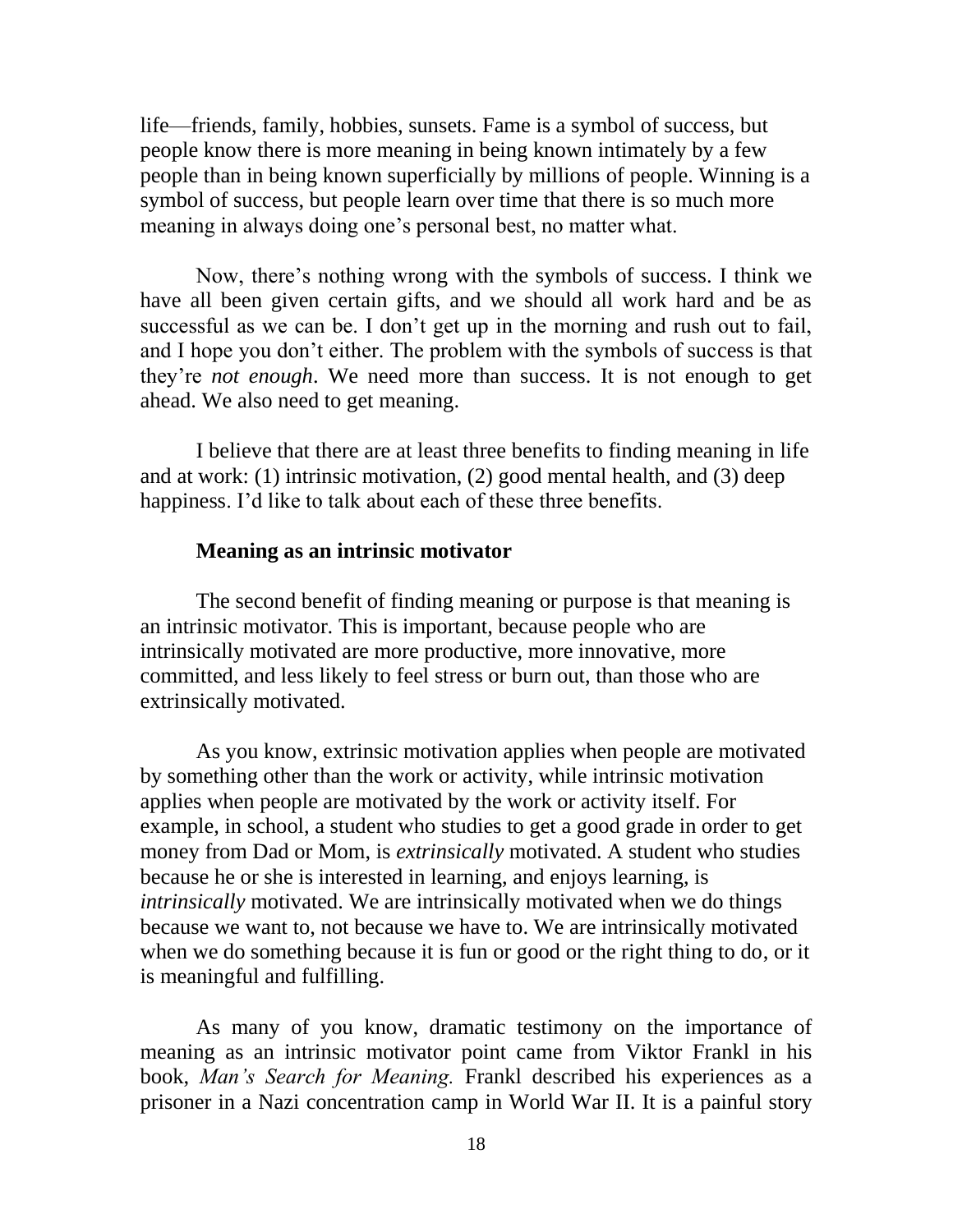life—friends, family, hobbies, sunsets. Fame is a symbol of success, but people know there is more meaning in being known intimately by a few people than in being known superficially by millions of people. Winning is a symbol of success, but people learn over time that there is so much more meaning in always doing one's personal best, no matter what.

Now, there's nothing wrong with the symbols of success. I think we have all been given certain gifts, and we should all work hard and be as successful as we can be. I don't get up in the morning and rush out to fail, and I hope you don't either. The problem with the symbols of success is that they're *not enough*. We need more than success. It is not enough to get ahead. We also need to get meaning.

I believe that there are at least three benefits to finding meaning in life and at work: (1) intrinsic motivation, (2) good mental health, and (3) deep happiness. I'd like to talk about each of these three benefits.

### **Meaning as an intrinsic motivator**

The second benefit of finding meaning or purpose is that meaning is an intrinsic motivator. This is important, because people who are intrinsically motivated are more productive, more innovative, more committed, and less likely to feel stress or burn out, than those who are extrinsically motivated.

As you know, extrinsic motivation applies when people are motivated by something other than the work or activity, while intrinsic motivation applies when people are motivated by the work or activity itself. For example, in school, a student who studies to get a good grade in order to get money from Dad or Mom, is *extrinsically* motivated. A student who studies because he or she is interested in learning, and enjoys learning, is *intrinsically* motivated. We are intrinsically motivated when we do things because we want to, not because we have to. We are intrinsically motivated when we do something because it is fun or good or the right thing to do, or it is meaningful and fulfilling.

As many of you know, dramatic testimony on the importance of meaning as an intrinsic motivator point came from Viktor Frankl in his book, *Man's Search for Meaning.* Frankl described his experiences as a prisoner in a Nazi concentration camp in World War II. It is a painful story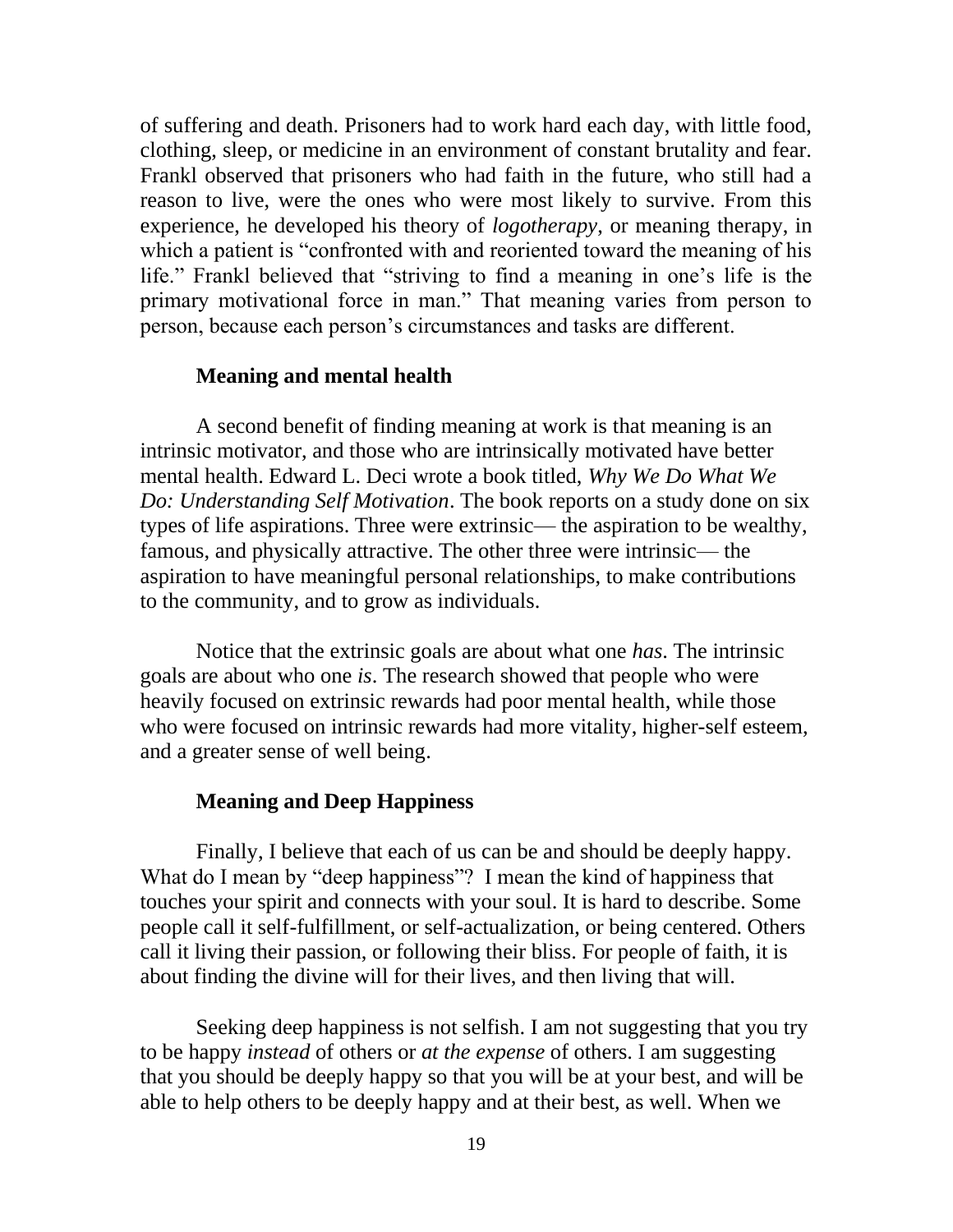of suffering and death. Prisoners had to work hard each day, with little food, clothing, sleep, or medicine in an environment of constant brutality and fear. Frankl observed that prisoners who had faith in the future, who still had a reason to live, were the ones who were most likely to survive. From this experience, he developed his theory of *logotherapy*, or meaning therapy, in which a patient is "confronted with and reoriented toward the meaning of his life." Frankl believed that "striving to find a meaning in one's life is the primary motivational force in man." That meaning varies from person to person, because each person's circumstances and tasks are different.

### **Meaning and mental health**

A second benefit of finding meaning at work is that meaning is an intrinsic motivator, and those who are intrinsically motivated have better mental health. Edward L. Deci wrote a book titled, *Why We Do What We Do: Understanding Self Motivation*. The book reports on a study done on six types of life aspirations. Three were extrinsic— the aspiration to be wealthy, famous, and physically attractive. The other three were intrinsic— the aspiration to have meaningful personal relationships, to make contributions to the community, and to grow as individuals.

Notice that the extrinsic goals are about what one *has*. The intrinsic goals are about who one *is*. The research showed that people who were heavily focused on extrinsic rewards had poor mental health, while those who were focused on intrinsic rewards had more vitality, higher-self esteem, and a greater sense of well being.

### **Meaning and Deep Happiness**

Finally, I believe that each of us can be and should be deeply happy. What do I mean by "deep happiness"? I mean the kind of happiness that touches your spirit and connects with your soul. It is hard to describe. Some people call it self-fulfillment, or self-actualization, or being centered. Others call it living their passion, or following their bliss. For people of faith, it is about finding the divine will for their lives, and then living that will.

Seeking deep happiness is not selfish. I am not suggesting that you try to be happy *instead* of others or *at the expense* of others. I am suggesting that you should be deeply happy so that you will be at your best, and will be able to help others to be deeply happy and at their best, as well. When we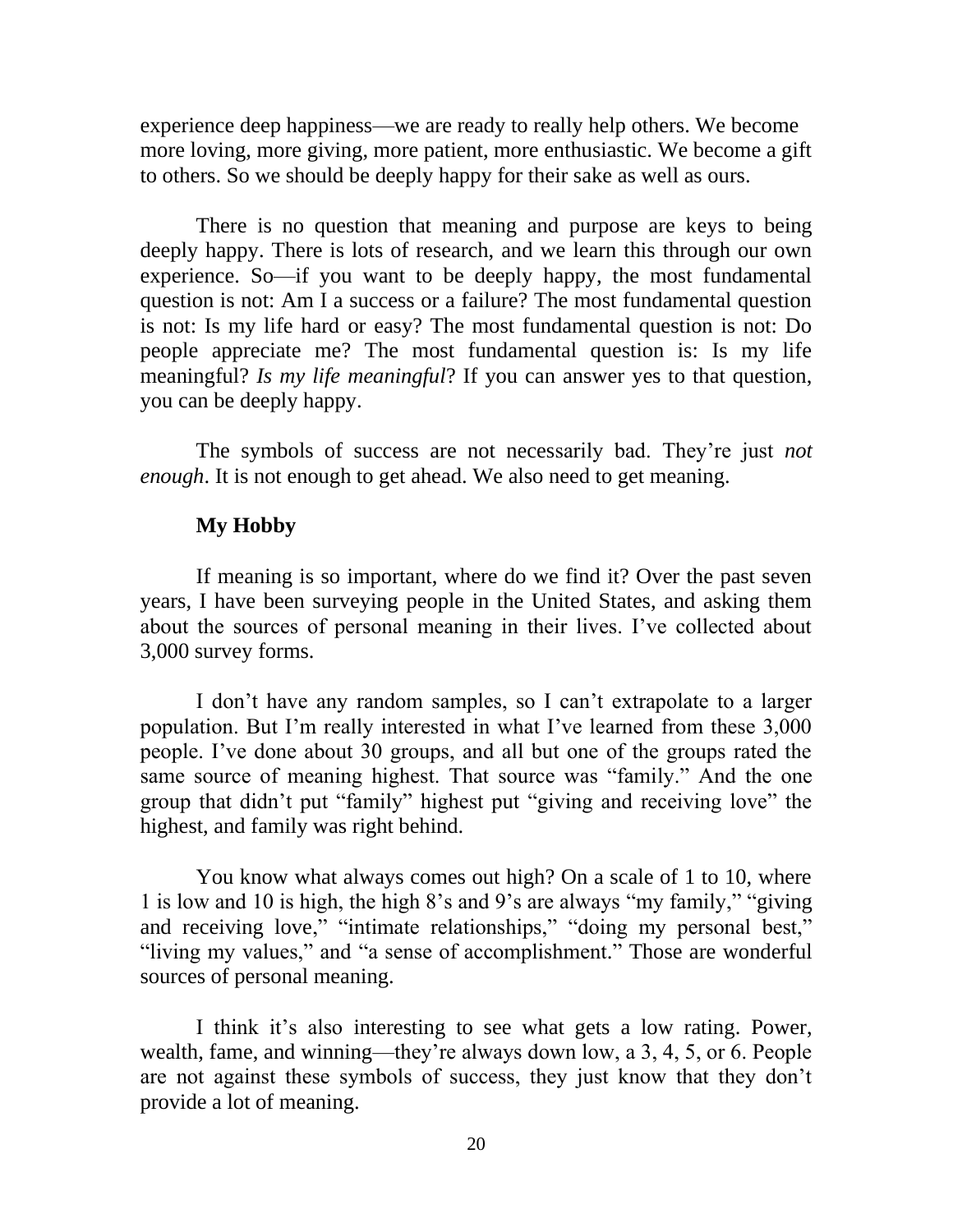experience deep happiness—we are ready to really help others. We become more loving, more giving, more patient, more enthusiastic. We become a gift to others. So we should be deeply happy for their sake as well as ours.

There is no question that meaning and purpose are keys to being deeply happy. There is lots of research, and we learn this through our own experience. So—if you want to be deeply happy, the most fundamental question is not: Am I a success or a failure? The most fundamental question is not: Is my life hard or easy? The most fundamental question is not: Do people appreciate me? The most fundamental question is: Is my life meaningful? *Is my life meaningful*? If you can answer yes to that question, you can be deeply happy.

The symbols of success are not necessarily bad. They're just *not enough*. It is not enough to get ahead. We also need to get meaning.

## **My Hobby**

If meaning is so important, where do we find it? Over the past seven years, I have been surveying people in the United States, and asking them about the sources of personal meaning in their lives. I've collected about 3,000 survey forms.

I don't have any random samples, so I can't extrapolate to a larger population. But I'm really interested in what I've learned from these 3,000 people. I've done about 30 groups, and all but one of the groups rated the same source of meaning highest. That source was "family." And the one group that didn't put "family" highest put "giving and receiving love" the highest, and family was right behind.

You know what always comes out high? On a scale of 1 to 10, where 1 is low and 10 is high, the high 8's and 9's are always "my family," "giving and receiving love," "intimate relationships," "doing my personal best," "living my values," and "a sense of accomplishment." Those are wonderful sources of personal meaning.

I think it's also interesting to see what gets a low rating. Power, wealth, fame, and winning—they're always down low, a 3, 4, 5, or 6. People are not against these symbols of success, they just know that they don't provide a lot of meaning.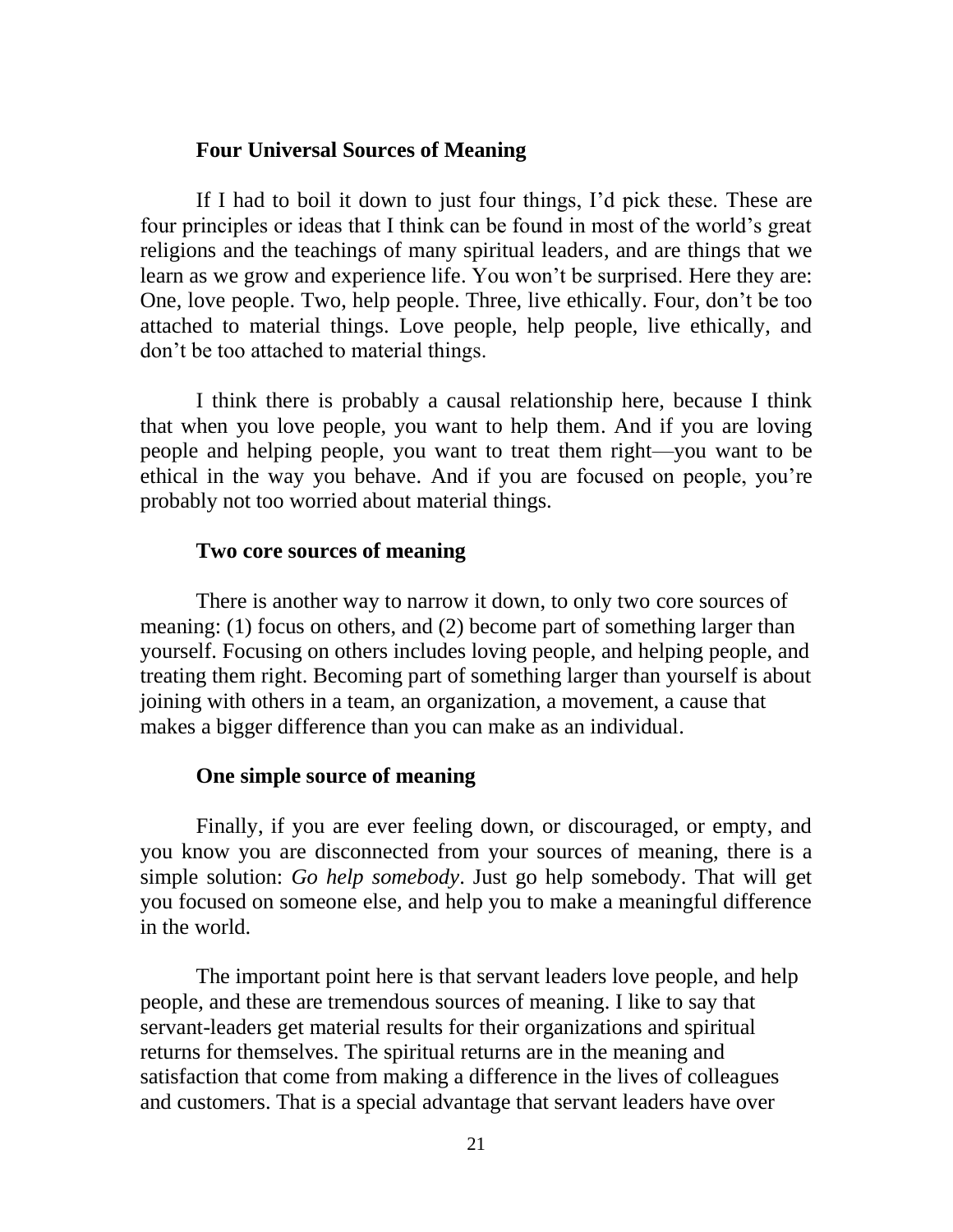### **Four Universal Sources of Meaning**

If I had to boil it down to just four things, I'd pick these. These are four principles or ideas that I think can be found in most of the world's great religions and the teachings of many spiritual leaders, and are things that we learn as we grow and experience life. You won't be surprised. Here they are: One, love people. Two, help people. Three, live ethically. Four, don't be too attached to material things. Love people, help people, live ethically, and don't be too attached to material things.

I think there is probably a causal relationship here, because I think that when you love people, you want to help them. And if you are loving people and helping people, you want to treat them right—you want to be ethical in the way you behave. And if you are focused on people, you're probably not too worried about material things.

### **Two core sources of meaning**

There is another way to narrow it down, to only two core sources of meaning: (1) focus on others, and (2) become part of something larger than yourself. Focusing on others includes loving people, and helping people, and treating them right. Becoming part of something larger than yourself is about joining with others in a team, an organization, a movement, a cause that makes a bigger difference than you can make as an individual.

#### **One simple source of meaning**

Finally, if you are ever feeling down, or discouraged, or empty, and you know you are disconnected from your sources of meaning, there is a simple solution: *Go help somebody*. Just go help somebody. That will get you focused on someone else, and help you to make a meaningful difference in the world.

The important point here is that servant leaders love people, and help people, and these are tremendous sources of meaning. I like to say that servant-leaders get material results for their organizations and spiritual returns for themselves. The spiritual returns are in the meaning and satisfaction that come from making a difference in the lives of colleagues and customers. That is a special advantage that servant leaders have over